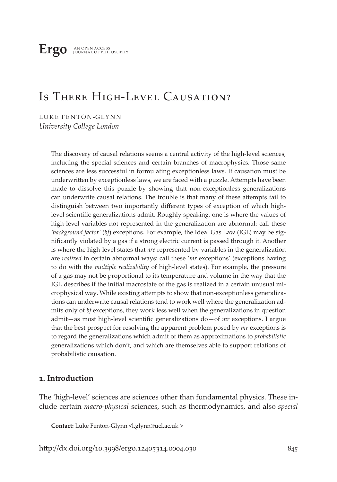**Ergo** an open access journal of philosophy

# Is There High-Level Causation?

LUKE FENTON-GLYNN *University College London*

> The discovery of causal relations seems a central activity of the high-level sciences, including the special sciences and certain branches of macrophysics. Those same sciences are less successful in formulating exceptionless laws. If causation must be underwritten by exceptionless laws, we are faced with a puzzle. Attempts have been made to dissolve this puzzle by showing that non-exceptionless generalizations can underwrite causal relations. The trouble is that many of these attempts fail to distinguish between two importantly different types of exception of which highlevel scientific generalizations admit. Roughly speaking, one is where the values of high-level variables not represented in the generalization are abnormal: call these *'background factor'* (*bf*) exceptions. For example, the Ideal Gas Law (IGL) may be significantly violated by a gas if a strong electric current is passed through it. Another is where the high-level states that *are* represented by variables in the generalization are *realized* in certain abnormal ways: call these '*mr* exceptions' (exceptions having to do with the *multiple realizability* of high-level states). For example, the pressure of a gas may not be proportional to its temperature and volume in the way that the IGL describes if the initial macrostate of the gas is realized in a certain unusual microphysical way. While existing attempts to show that non-exceptionless generalizations can underwrite causal relations tend to work well where the generalization admits only of *bf* exceptions, they work less well when the generalizations in question admit—as most high-level scientific generalizations do—of *mr* exceptions. I argue that the best prospect for resolving the apparent problem posed by *mr* exceptions is to regard the generalizations which admit of them as approximations to *probabilistic* generalizations which don't, and which are themselves able to support relations of probabilistic causation.

## **1. Introduction**

The 'high-level' sciences are sciences other than fundamental physics. These include certain *macro-physical* sciences, such as thermodynamics, and also *special* 

**Contact:** Luke Fenton-Glynn <l.glynn@ucl.ac.uk >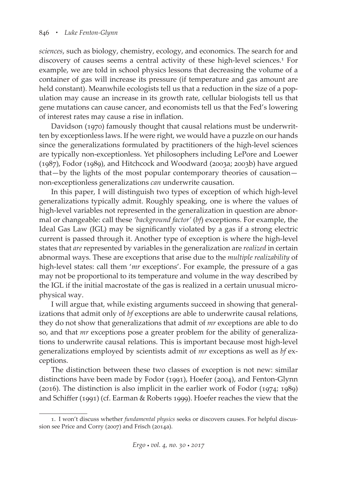*sciences*, such as biology, chemistry, ecology, and economics. The search for and discovery of causes seems a central activity of these high-level sciences.<sup>1</sup> For example, we are told in school physics lessons that decreasing the volume of a container of gas will increase its pressure (if temperature and gas amount are held constant). Meanwhile ecologists tell us that a reduction in the size of a population may cause an increase in its growth rate, cellular biologists tell us that gene mutations can cause cancer, and economists tell us that the Fed's lowering of interest rates may cause a rise in inflation.

Davidson (1970) famously thought that causal relations must be underwritten by exceptionless laws. If he were right, we would have a puzzle on our hands since the generalizations formulated by practitioners of the high-level sciences are typically non-exceptionless. Yet philosophers including LePore and Loewer (1987), Fodor (1989), and Hitchcock and Woodward (2003a; 2003b) have argued that—by the lights of the most popular contemporary theories of causation non-exceptionless generalizations *can* underwrite causation.

In this paper, I will distinguish two types of exception of which high-level generalizations typically admit. Roughly speaking, one is where the values of high-level variables not represented in the generalization in question are abnormal or changeable: call these *'background factor'* (*bf*) exceptions. For example, the Ideal Gas Law (IGL) may be significantly violated by a gas if a strong electric current is passed through it. Another type of exception is where the high-level states that *are* represented by variables in the generalization are *realized* in certain abnormal ways. These are exceptions that arise due to the *multiple realizability* of high-level states: call them '*mr* exceptions'. For example, the pressure of a gas may not be proportional to its temperature and volume in the way described by the IGL if the initial macrostate of the gas is realized in a certain unusual microphysical way.

I will argue that, while existing arguments succeed in showing that generalizations that admit only of *bf* exceptions are able to underwrite causal relations, they do not show that generalizations that admit of *mr* exceptions are able to do so, and that *mr* exceptions pose a greater problem for the ability of generalizations to underwrite causal relations. This is important because most high-level generalizations employed by scientists admit of *mr* exceptions as well as *bf* exceptions.

The distinction between these two classes of exception is not new: similar distinctions have been made by Fodor (1991), Hoefer (2004), and Fenton-Glynn (2016). The distinction is also implicit in the earlier work of Fodor (1974; 1989) and Schiffer (1991) (cf. Earman & Roberts 1999). Hoefer reaches the view that the

<sup>1.</sup> I won't discuss whether *fundamental physics* seeks or discovers causes. For helpful discussion see Price and Corry (2007) and Frisch (2014a).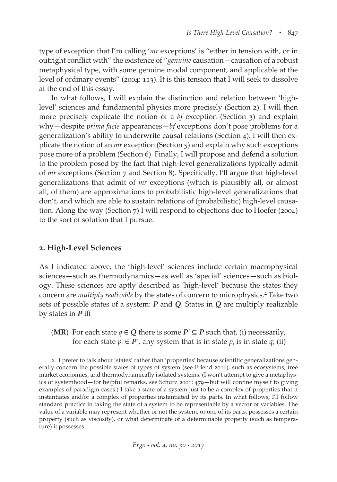type of exception that I'm calling '*mr* exceptions' is "either in tension with, or in outright conflict with" the existence of "*genuine* causation—causation of a robust metaphysical type, with some genuine modal component, and applicable at the level of ordinary events" (2004: 113). It is this tension that I will seek to dissolve at the end of this essay.

In what follows, I will explain the distinction and relation between 'highlevel' sciences and fundamental physics more precisely (Section 2). I will then more precisely explicate the notion of a *bf* exception (Section 3) and explain why—despite *prima facie* appearances—*bf* exceptions don't pose problems for a generalization's ability to underwrite causal relations (Section 4). I will then explicate the notion of an *mr* exception (Section 5) and explain why such exceptions pose more of a problem (Section 6). Finally, I will propose and defend a solution to the problem posed by the fact that high-level generalizations typically admit of *mr* exceptions (Section 7 and Section 8). Specifically, I'll argue that high-level generalizations that admit of *mr* exceptions (which is plausibly all, or almost all, of them) are approximations to probabilistic high-level generalizations that don't, and which are able to sustain relations of (probabilistic) high-level causation. Along the way (Section 7) I will respond to objections due to Hoefer (2004) to the sort of solution that I pursue.

## **2. High-Level Sciences**

As I indicated above, the 'high-level' sciences include certain macrophysical sciences—such as thermodynamics—as well as 'special' sciences—such as biology. These sciences are aptly described as 'high-level' because the states they concern are *multiply realizable* by the states of concern to microphysics.<sup>2</sup> Take two sets of possible states of a system: *P* and *Q*. States in *Q* are multiply realizable by states in *P* iff

(**MR**) For each state *q* ∈ *Q* there is some  $P' ⊆ P$  such that, (i) necessarily, for each state  $p_i \in P'$ , any system that is in state  $p_i$  is in state  $q_i$ ; (ii)

<sup>2.</sup> I prefer to talk about 'states' rather than 'properties' because scientific generalizations generally concern the possible states of types of system (see Friend 2016), such as ecosystems, free market economies, and thermodynamically isolated systems. (I won't attempt to give a metaphysics of systemhood—for helpful remarks, see Schurz 2001: 479—but will confine myself to giving examples of paradigm cases.) I take a state of a system just to be a complex of properties that it instantiates and/or a complex of properties instantiated by its parts. In what follows, I'll follow standard practice in taking the state of a system to be representable by a vector of variables. The value of a variable may represent whether or not the system, or one of its parts, possesses a certain property (such as viscosity), or what determinate of a determinable property (such as temperature) it possesses.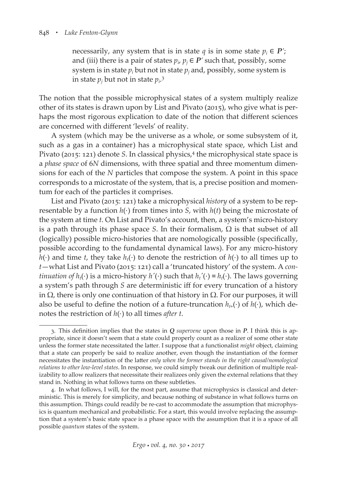necessarily, any system that is in state  $q$  is in some state  $p_i \in P'$ ; and (iii) there is a pair of states  $p_i$ ,  $p_j \in P'$  such that, possibly, some system is in state  $p_i$  but not in state  $p_j$  and, possibly, some system is in state  $p_j$  but not in state  $p_i$ <sup>3</sup>

The notion that the possible microphysical states of a system multiply realize other of its states is drawn upon by List and Pivato (2015), who give what is perhaps the most rigorous explication to date of the notion that different sciences are concerned with different 'levels' of reality.

A system (which may be the universe as a whole, or some subsystem of it, such as a gas in a container) has a microphysical state space, which List and Pivato (2015: 121) denote *S*. In classical physics,4 the microphysical state space is a *phase space* of 6*N* dimensions, with three spatial and three momentum dimensions for each of the *N* particles that compose the system. A point in this space corresponds to a microstate of the system, that is, a precise position and momentum for each of the particles it comprises.

List and Pivato (2015: 121) take a microphysical *history* of a system to be representable by a function *h*(⋅) from times into *S*, with *h*(*t*) being the microstate of the system at time *t*. On List and Pivato's account, then, a system's micro-history is a path through its phase space *S*. In their formalism,  $\Omega$  is that subset of all (logically) possible micro-histories that are nomologically possible (specifically, possible according to the fundamental dynamical laws). For any micro-history *h*(⋅) and time *t*, they take *h*<sub>t</sub>(⋅) to denote the restriction of *h*(⋅) to all times up to *t*—what List and Pivato (2015: 121) call a 'truncated history' of the system. A *continuation of h<sub>t</sub>*(⋅) is a micro-history *h'*(⋅) such that  $h_t'$ (⋅) =  $h_t(·)$ . The laws governing a system's path through *S* are deterministic iff for every truncation of a history in Ω, there is only one continuation of that history in Ω. For our purposes, it will also be useful to define the notion of a future-truncation  $h_{t+}(\cdot)$  of  $h(\cdot)$ , which denotes the restriction of *h*(⋅) to all times *after t*.

<sup>3.</sup> This definition implies that the states in *Q supervene* upon those in *P*. I think this is appropriate, since it doesn't seem that a state could properly count as a realizer of some other state unless the former state necessitated the latter. I suppose that a functionalist *might* object, claiming that a state can properly be said to realize another, even though the instantiation of the former necessitates the instantiation of the latter *only when the former stands in the right causal/nomological relations to other low-level states*. In response, we could simply tweak our definition of multiple realizability to allow realizers that necessitate their realizees only given the external relations that they stand in. Nothing in what follows turns on these subtleties.

<sup>4.</sup> In what follows, I will, for the most part, assume that microphysics is classical and deterministic. This is merely for simplicity, and because nothing of substance in what follows turns on this assumption. Things could readily be re-cast to accommodate the assumption that microphysics is quantum mechanical and probabilistic. For a start, this would involve replacing the assumption that a system's basic state space is a phase space with the assumption that it is a space of all possible *quantum* states of the system.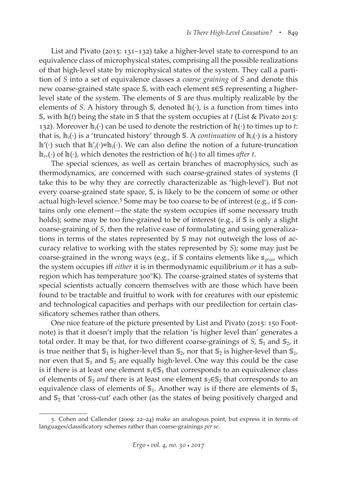List and Pivato (2015: 131–132) take a higher-level state to correspond to an equivalence class of microphysical states, comprising all the possible realizations of that high-level state by microphysical states of the system. They call a partition of *S* into a set of equivalence classes a *coarse graining* of *S* and denote this new coarse-grained state space S, with each element s∈S representing a higherlevel state of the system. The elements of S are thus multiply realizable by the elements of *S*. A history through  $\mathbb{S}$ , denoted  $\mathbb{h}(\cdot)$ , is a function from times into S, with  $\ln(t)$  being the state in S that the system occupies at *t* (List & Pivato 2015: 132). Moreover  $\mathbb{h}_t(\cdot)$  can be used to denote the restriction of  $\mathbb{h}(\cdot)$  to times up to *t*: that is,  $\mathbb{h}_t(\cdot)$  is a 'truncated history' through S. A *continuation* of  $\mathbb{h}_t(\cdot)$  is a history *l*<sup>n</sup>'(·) such that l<sup>n'</sup><sub>*t*</sub>(·)≡l<sup>n</sup><sub>*t*</sub>(·). We can also define the notion of a future-truncation  $\mathbb{h}_{t+}(\cdot)$  of  $\mathbb{h}(\cdot)$ , which denotes the restriction of  $\mathbb{h}(\cdot)$  to all times *after t*.

The special sciences, as well as certain branches of macrophysics, such as thermodynamics, are concerned with such coarse-grained states of systems (I take this to be why they are correctly characterizable as 'high-level'). But not every coarse-grained state space,  $\mathcal{S}$ , is likely to be the concern of some or other actual high-level science.<sup>5</sup> Some may be too coarse to be of interest (e.g., if S contains only one element—the state the system occupies iff some necessary truth holds); some may be too fine-grained to be of interest (e.g., if  $\mathcal S$  is only a slight coarse-graining of *S*, then the relative ease of formulating and using generalizations in terms of the states represented by  $\mathcal S$  may not outweigh the loss of accuracy relative to working with the states represented by *S*); some may just be coarse-grained in the wrong ways (e.g., if *S* contains elements like *S<sub>oruer</sub>* which the system occupies iff *either* it is in thermodynamic equilibrium *or* it has a subregion which has temperature 300°K). The coarse-grained states of systems that special scientists actually concern themselves with are those which have been found to be tractable and fruitful to work with for creatures with our epistemic and technological capacities and perhaps with our predilection for certain classificatory schemes rather than others.

One nice feature of the picture presented by List and Pivato (2015: 150 Footnote) is that it doesn't imply that the relation 'is higher level than' generates a total order. It may be that, for two different coarse-grainings of  $S$ ,  $S_1$  and  $S_2$ , it is true neither that  $\mathbb{S}_1$  is higher-level than  $\mathbb{S}_2$ , nor that  $\mathbb{S}_2$  is higher-level than  $\mathbb{S}_1$ , nor even that  $\mathbb{S}_1$  and  $\mathbb{S}_2$  are equally high-level. One way this could be the case is if there is at least one element  $s_1 \in S_1$  that corresponds to an equivalence class of elements of S<sub>2</sub> *and* there is at least one element s<sub>2</sub>∈S<sub>2</sub> that corresponds to an equivalence class of elements of  $\mathbb{S}_1$ . Another way is if there are elements of  $\mathbb{S}_1$ and  $\mathbb{S}_2$  that 'cross-cut' each other (as the states of being positively charged and

<sup>5.</sup> Cohen and Callender (2009: 22–24) make an analogous point, but express it in terms of languages/classificatory schemes rather than coarse-grainings *per se*.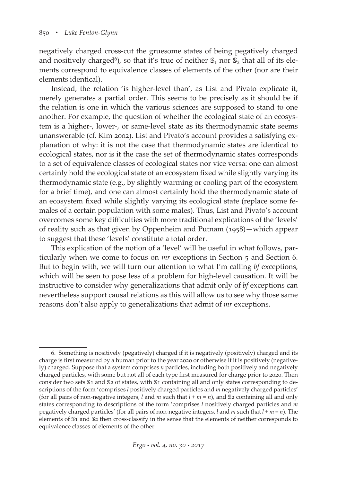negatively charged cross-cut the gruesome states of being pegatively charged and nositively charged<sup>6</sup>), so that it's true of neither  $\mathbb{S}_1$  nor  $\mathbb{S}_2$  that all of its elements correspond to equivalence classes of elements of the other (nor are their elements identical).

Instead, the relation 'is higher-level than', as List and Pivato explicate it, merely generates a partial order. This seems to be precisely as it should be if the relation is one in which the various sciences are supposed to stand to one another. For example, the question of whether the ecological state of an ecosystem is a higher-, lower-, or same-level state as its thermodynamic state seems unanswerable (cf. Kim 2002). List and Pivato's account provides a satisfying explanation of why: it is not the case that thermodynamic states are identical to ecological states, nor is it the case the set of thermodynamic states corresponds to a set of equivalence classes of ecological states nor vice versa: one can almost certainly hold the ecological state of an ecosystem fixed while slightly varying its thermodynamic state (e.g., by slightly warming or cooling part of the ecosystem for a brief time), and one can almost certainly hold the thermodynamic state of an ecosystem fixed while slightly varying its ecological state (replace some females of a certain population with some males). Thus, List and Pivato's account overcomes some key difficulties with more traditional explications of the 'levels' of reality such as that given by Oppenheim and Putnam (1958)—which appear to suggest that these 'levels' constitute a total order.

This explication of the notion of a 'level' will be useful in what follows, particularly when we come to focus on *mr* exceptions in Section 5 and Section 6. But to begin with, we will turn our attention to what I'm calling *bf* exceptions, which will be seen to pose less of a problem for high-level causation. It will be instructive to consider why generalizations that admit only of *bf* exceptions can nevertheless support causal relations as this will allow us to see why those same reasons don't also apply to generalizations that admit of *mr* exceptions.

<sup>6.</sup> Something is nositively (pegatively) charged if it is negatively (positively) charged and its charge is first measured by a human prior to the year 2020 or otherwise if it is positively (negatively) charged. Suppose that a system comprises *n* particles, including both positively and negatively charged particles, with some but not all of each type first measured for charge prior to 2020. Then consider two sets \$1 and \$2 of states, with \$1 containing all and only states corresponding to descriptions of the form 'comprises *l* positively charged particles and *m* negatively charged particles' (for all pairs of non-negative integers, *l* and *m* such that  $l + m = n$ ), and \$2 containing all and only states corresponding to descriptions of the form 'comprises *l* nositively charged particles and *m* pegatively charged particles' (for all pairs of non-negative integers, *l* and *m* such that *l* + *m* = *n*). The elements of  $\$1$  and  $\$2$  then cross-classify in the sense that the elements of neither corresponds to equivalence classes of elements of the other.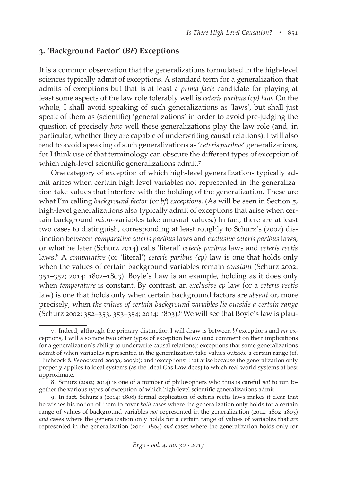## **3. 'Background Factor' (***BF***) Exceptions**

It is a common observation that the generalizations formulated in the high-level sciences typically admit of exceptions. A standard term for a generalization that admits of exceptions but that is at least a *prima facie* candidate for playing at least some aspects of the law role tolerably well is *ceteris paribus (cp) law*. On the whole, I shall avoid speaking of such generalizations as 'laws', but shall just speak of them as (scientific) 'generalizations' in order to avoid pre-judging the question of precisely *how* well these generalizations play the law role (and, in particular, whether they are capable of underwriting causal relations). I will also tend to avoid speaking of such generalizations as '*ceteris paribus*' generalizations, for I think use of that terminology can obscure the different types of exception of which high-level scientific generalizations admit.7

One category of exception of which high-level generalizations typically admit arises when certain high-level variables not represented in the generalization take values that interfere with the holding of the generalization. These are what I'm calling *background factor* (or *bf*) *exceptions*. (As will be seen in Section 5, high-level generalizations also typically admit of exceptions that arise when certain background *micro*-variables take unusual values.) In fact, there are at least two cases to distinguish, corresponding at least roughly to Schurz's (2002) distinction between *comparative ceteris paribus* laws and *exclusive ceteris paribus* laws, or what he later (Schurz 2014) calls 'literal' *ceteris paribus* laws and *ceteris rectis* laws.8 A *comparative* (or 'literal') *ceteris paribus (cp)* law is one that holds only when the values of certain background variables remain *constant* (Schurz 2002: 351–352; 2014: 1802–1803). Boyle's Law is an example, holding as it does only when *temperature* is constant. By contrast, an *exclusive cp* law (or a *ceteris rectis* law) is one that holds only when certain background factors are *absent* or, more precisely, when *the values of certain background variables lie outside a certain range* (Schurz 2002: 352–353, 353–354; 2014: 1803).9 We will see that Boyle's law is plau-

<sup>7.</sup> Indeed, although the primary distinction I will draw is between *bf* exceptions and *mr* exceptions, I will also note two other types of exception below (and comment on their implications for a generalization's ability to underwrite causal relations): exceptions that some generalizations admit of when variables represented in the generalization take values outside a certain range (cf. Hitchcock & Woodward 2003a; 2003b); and 'exceptions' that arise because the generalization only properly applies to ideal systems (as the Ideal Gas Law does) to which real world systems at best approximate.

<sup>8.</sup> Schurz (2002; 2014) is one of a number of philosophers who thus is careful *not* to run together the various types of exception of which high-level scientific generalizations admit.

<sup>9.</sup> In fact, Schurz's (2014: 1808) formal explication of ceteris rectis laws makes it clear that he wishes his notion of them to cover *both* cases where the generalization only holds for a certain range of values of background variables *not* represented in the generalization (2014: 1802–1803) *and* cases where the generalization only holds for a certain range of values of variables that *are* represented in the generalization (2014: 1804) *and* cases where the generalization holds only for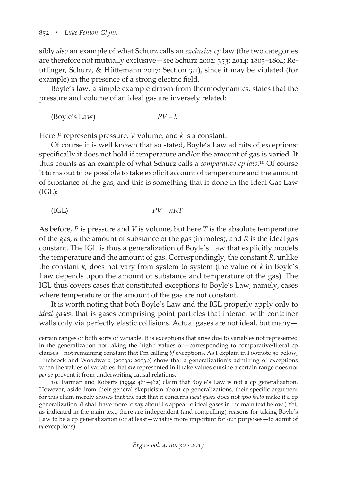sibly *also* an example of what Schurz calls an *exclusive cp* law (the two categories are therefore not mutually exclusive—see Schurz 2002: 353; 2014: 1803–1804; Reutlinger, Schurz, & Hüttemann 2017: Section 3.1), since it may be violated (for example) in the presence of a strong electric field.

Boyle's law, a simple example drawn from thermodynamics, states that the pressure and volume of an ideal gas are inversely related:

$$
(Boyle's Law) \t\t\t PV = k
$$

Here *P* represents pressure, *V* volume, and *k* is a constant.

Of course it is well known that so stated, Boyle's Law admits of exceptions: specifically it does not hold if temperature and/or the amount of gas is varied. It thus counts as an example of what Schurz calls a *comparative cp law*. 10 Of course it turns out to be possible to take explicit account of temperature and the amount of substance of the gas, and this is something that is done in the Ideal Gas Law (IGL):

$$
(IGL) \t\t\t PV = nRT
$$

As before, *P* is pressure and *V* is volume, but here *T* is the absolute temperature of the gas, *n* the amount of substance of the gas (in moles), and *R* is the ideal gas constant. The IGL is thus a generalization of Boyle's Law that explicitly models the temperature and the amount of gas. Correspondingly, the constant *R*, unlike the constant *k*, does not vary from system to system (the value of *k* in Boyle's Law depends upon the amount of substance and temperature of the gas). The IGL thus covers cases that constituted exceptions to Boyle's Law, namely, cases where temperature or the amount of the gas are not constant.

It is worth noting that both Boyle's Law and the IGL properly apply only to *ideal gases*: that is gases comprising point particles that interact with container walls only via perfectly elastic collisions. Actual gases are not ideal, but many—

certain ranges of both sorts of variable. It is exceptions that arise due to variables not represented in the generalization not taking the 'right' values or—corresponding to comparative/literal cp clauses—not remaining constant that I'm calling *bf* exceptions. As I explain in Footnote 30 below, Hitchcock and Woodward (2003a; 2003b) show that a generalization's admitting of exceptions when the values of variables that *are* represented in it take values outside a certain range does not *per se* prevent it from underwriting causal relations.

<sup>10.</sup> Earman and Roberts (1999: 461–462) claim that Boyle's Law is not a cp generalization. However, aside from their general skepticism about cp generalizations, their specific argument for this claim merely shows that the fact that it concerns *ideal gases* does not *ipso facto* make it a cp generalization. (I shall have more to say about its appeal to ideal gases in the main text below.) Yet, as indicated in the main text, there are independent (and compelling) reasons for taking Boyle's Law to be a cp generalization (or at least—what is more important for our purposes—to admit of *bf* exceptions).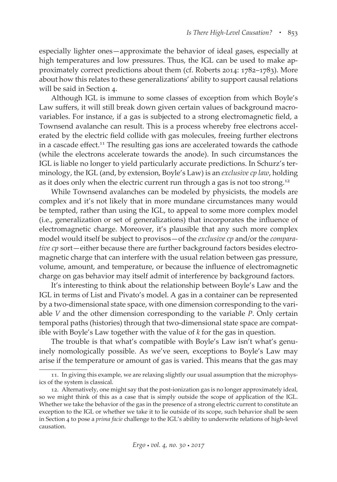especially lighter ones—approximate the behavior of ideal gases, especially at high temperatures and low pressures. Thus, the IGL can be used to make approximately correct predictions about them (cf. Roberts 2014: 1782–1783). More about how this relates to these generalizations' ability to support causal relations will be said in Section 4.

Although IGL is immune to some classes of exception from which Boyle's Law suffers, it will still break down given certain values of background macrovariables. For instance, if a gas is subjected to a strong electromagnetic field, a Townsend avalanche can result. This is a process whereby free electrons accelerated by the electric field collide with gas molecules, freeing further electrons in a cascade effect.<sup>11</sup> The resulting gas ions are accelerated towards the cathode (while the electrons accelerate towards the anode). In such circumstances the IGL is liable no longer to yield particularly accurate predictions. In Schurz's terminology, the IGL (and, by extension, Boyle's Law) is an *exclusive cp law*, holding as it does only when the electric current run through a gas is not too strong.<sup>12</sup>

While Townsend avalanches can be modeled by physicists, the models are complex and it's not likely that in more mundane circumstances many would be tempted, rather than using the IGL, to appeal to some more complex model (i.e., generalization or set of generalizations) that incorporates the influence of electromagnetic charge. Moreover, it's plausible that any such more complex model would itself be subject to provisos—of the *exclusive cp* and/or the *comparative cp* sort—either because there are further background factors besides electromagnetic charge that can interfere with the usual relation between gas pressure, volume, amount, and temperature, or because the influence of electromagnetic charge on gas behavior may itself admit of interference by background factors.

It's interesting to think about the relationship between Boyle's Law and the IGL in terms of List and Pivato's model. A gas in a container can be represented by a two-dimensional state space, with one dimension corresponding to the variable *V* and the other dimension corresponding to the variable *P*. Only certain temporal paths (histories) through that two-dimensional state space are compatible with Boyle's Law together with the value of *k* for the gas in question.

The trouble is that what's compatible with Boyle's Law isn't what's genuinely nomologically possible. As we've seen, exceptions to Boyle's Law may arise if the temperature or amount of gas is varied. This means that the gas may

<sup>11.</sup> In giving this example, we are relaxing slightly our usual assumption that the microphysics of the system is classical.

<sup>12.</sup> Alternatively, one might say that the post-ionization gas is no longer approximately ideal, so we might think of this as a case that is simply outside the scope of application of the IGL. Whether we take the behavior of the gas in the presence of a strong electric current to constitute an exception to the IGL or whether we take it to lie outside of its scope, such behavior shall be seen in Section 4 to pose a *prima facie* challenge to the IGL's ability to underwrite relations of high-level causation.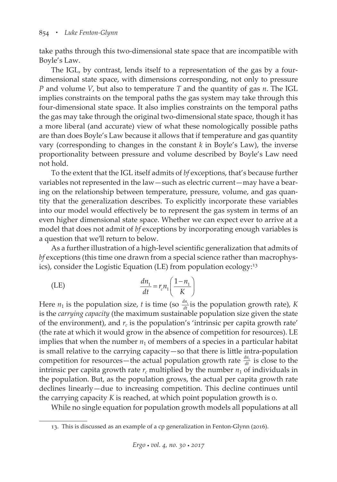take paths through this two-dimensional state space that are incompatible with Boyle's Law.

The IGL, by contrast, lends itself to a representation of the gas by a fourdimensional state space, with dimensions corresponding, not only to pressure *P* and volume *V*, but also to temperature *T* and the quantity of gas *n*. The IGL implies constraints on the temporal paths the gas system may take through this four-dimensional state space. It also implies constraints on the temporal paths the gas may take through the original two-dimensional state space, though it has a more liberal (and accurate) view of what these nomologically possible paths are than does Boyle's Law because it allows that if temperature and gas quantity vary (corresponding to changes in the constant *k* in Boyle's Law), the inverse proportionality between pressure and volume described by Boyle's Law need not hold.

To the extent that the IGL itself admits of *bf* exceptions, that's because further variables not represented in the law—such as electric current—may have a bearing on the relationship between temperature, pressure, volume, and gas quantity that the generalization describes. To explicitly incorporate these variables into our model would effectively be to represent the gas system in terms of an even higher dimensional state space. Whether we can expect ever to arrive at a model that does not admit of *bf* exceptions by incorporating enough variables is a question that we'll return to below.

As a further illustration of a high-level scientific generalization that admits of *bf* exceptions (this time one drawn from a special science rather than macrophysics), consider the Logistic Equation (LE) from population ecology:13

(LE) 
$$
\frac{dn_1}{dt} = r_c n_1 \left(\frac{1 - n_1}{K}\right)
$$

Here  $n_1$  is the population size, *t* is time (so  $\frac{dn_1}{dt}$  is the population growth rate), *K* is the *carrying capacity* (the maximum sustainable population size given the state of the environment), and  $r_c$  is the population's 'intrinsic per capita growth rate' (the rate at which it would grow in the absence of competition for resources). LE implies that when the number  $n_1$  of members of a species in a particular habitat is small relative to the carrying capacity—so that there is little intra-population competition for resources—the actual population growth rate  $\frac{dn_1}{dt}$  is close to the intrinsic per capita growth rate  $r_c$  multiplied by the number  $n_1$  of individuals in the population. But, as the population grows, the actual per capita growth rate declines linearly—due to increasing competition. This decline continues until the carrying capacity *K* is reached, at which point population growth is 0.

While no single equation for population growth models all populations at all

<sup>13.</sup> This is discussed as an example of a cp generalization in Fenton-Glynn (2016).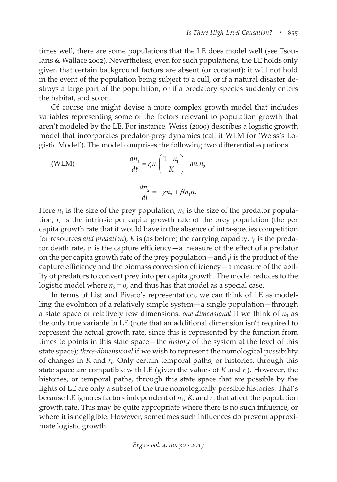times well, there are some populations that the LE does model well (see Tsoularis & Wallace 2002). Nevertheless, even for such populations, the LE holds only given that certain background factors are absent (or constant): it will not hold in the event of the population being subject to a cull, or if a natural disaster destroys a large part of the population, or if a predatory species suddenly enters the habitat, and so on.

Of course one might devise a more complex growth model that includes variables representing some of the factors relevant to population growth that aren't modeled by the LE. For instance, Weiss (2009) describes a logistic growth model that incorporates predator-prey dynamics (call it WLM for 'Weiss's Logistic Model'). The model comprises the following two differential equations:

(WLM)  
\n
$$
\frac{dn_1}{dt} = r_c n_1 \left(\frac{1 - n_1}{K}\right) - a n_1 n_2
$$
\n
$$
\frac{dn_2}{dt} = -\gamma n_2 + \beta n_1 n_2
$$

Here  $n_1$  is the size of the prey population,  $n_2$  is the size of the predator population,  $r_c$  is the intrinsic per capita growth rate of the prey population (the per capita growth rate that it would have in the absence of intra-species competition for resources *and predation*), *K* is (as before) the carrying capacity, γ is the predator death rate,  $\alpha$  is the capture efficiency—a measure of the effect of a predator on the per capita growth rate of the prey population—and  $\beta$  is the product of the capture efficiency and the biomass conversion efficiency—a measure of the ability of predators to convert prey into per capita growth. The model reduces to the logistic model where  $n_2$  = 0, and thus has that model as a special case.

In terms of List and Pivato's representation, we can think of LE as modelling the evolution of a relatively simple system—a single population—through a state space of relatively few dimensions: *one-dimensional* if we think of  $n_1$  as the only true variable in LE (note that an additional dimension isn't required to represent the actual growth rate, since this is represented by the function from times to points in this state space—the *history* of the system at the level of this state space); *three-dimensional* if we wish to represent the nomological possibility of changes in  $K$  and  $r_c$ . Only certain temporal paths, or histories, through this state space are compatible with LE (given the values of  $K$  and  $r_c$ ). However, the histories, or temporal paths, through this state space that are possible by the lights of LE are only a subset of the true nomologically possible histories. That's because LE ignores factors independent of  $n_1$ ,  $K$ , and  $r_c$  that affect the population growth rate. This may be quite appropriate where there is no such influence, or where it is negligible. However, sometimes such influences do prevent approximate logistic growth.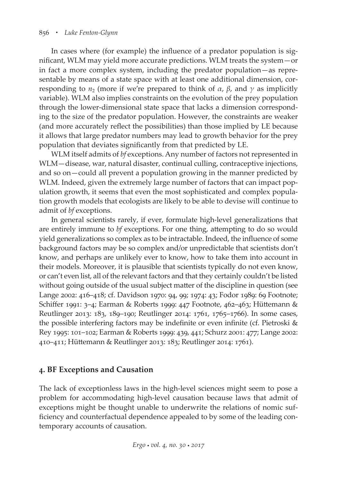In cases where (for example) the influence of a predator population is significant, WLM may yield more accurate predictions. WLM treats the system—or in fact a more complex system, including the predator population—as representable by means of a state space with at least one additional dimension, corresponding to  $n_2$  (more if we're prepared to think of  $\alpha$ ,  $\beta$ , and  $\gamma$  as implicitly variable). WLM also implies constraints on the evolution of the prey population through the lower-dimensional state space that lacks a dimension corresponding to the size of the predator population. However, the constraints are weaker (and more accurately reflect the possibilities) than those implied by LE because it allows that large predator numbers may lead to growth behavior for the prey population that deviates significantly from that predicted by LE.

WLM itself admits of *bf* exceptions. Any number of factors not represented in WLM—disease, war, natural disaster, continual culling, contraceptive injections, and so on—could all prevent a population growing in the manner predicted by WLM. Indeed, given the extremely large number of factors that can impact population growth, it seems that even the most sophisticated and complex population growth models that ecologists are likely to be able to devise will continue to admit of *bf* exceptions.

In general scientists rarely, if ever, formulate high-level generalizations that are entirely immune to *bf* exceptions. For one thing, attempting to do so would yield generalizations so complex as to be intractable. Indeed, the influence of some background factors may be so complex and/or unpredictable that scientists don't know, and perhaps are unlikely ever to know, how to take them into account in their models. Moreover, it is plausible that scientists typically do not even know, or can't even list, all of the relevant factors and that they certainly couldn't be listed without going outside of the usual subject matter of the discipline in question (see Lange 2002: 416–418; cf. Davidson 1970: 94, 99; 1974: 43; Fodor 1989: 69 Footnote; Schiffer 1991: 3–4; Earman & Roberts 1999: 447 Footnote, 462–463; Hüttemann & Reutlinger 2013: 183, 189–190; Reutlinger 2014: 1761, 1765–1766). In some cases, the possible interfering factors may be indefinite or even infinite (cf. Pietroski & Rey 1995: 101–102; Earman & Roberts 1999: 439, 441; Schurz 2001: 477; Lange 2002: 410–411; Hüttemann & Reutlinger 2013: 183; Reutlinger 2014: 1761).

## **4. BF Exceptions and Causation**

The lack of exceptionless laws in the high-level sciences might seem to pose a problem for accommodating high-level causation because laws that admit of exceptions might be thought unable to underwrite the relations of nomic sufficiency and counterfactual dependence appealed to by some of the leading contemporary accounts of causation.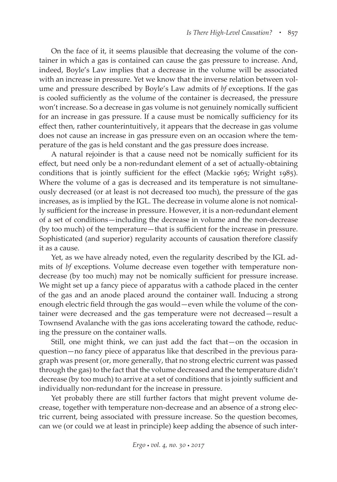On the face of it, it seems plausible that decreasing the volume of the container in which a gas is contained can cause the gas pressure to increase. And, indeed, Boyle's Law implies that a decrease in the volume will be associated with an increase in pressure. Yet we know that the inverse relation between volume and pressure described by Boyle's Law admits of *bf* exceptions. If the gas is cooled sufficiently as the volume of the container is decreased, the pressure won't increase. So a decrease in gas volume is not genuinely nomically sufficient for an increase in gas pressure. If a cause must be nomically sufficiency for its effect then, rather counterintuitively, it appears that the decrease in gas volume does not cause an increase in gas pressure even on an occasion where the temperature of the gas is held constant and the gas pressure does increase.

A natural rejoinder is that a cause need not be nomically sufficient for its effect, but need only be a non-redundant element of a set of actually-obtaining conditions that is jointly sufficient for the effect (Mackie 1965; Wright 1985). Where the volume of a gas is decreased and its temperature is not simultaneously decreased (or at least is not decreased too much), the pressure of the gas increases, as is implied by the IGL. The decrease in volume alone is not nomically sufficient for the increase in pressure. However, it is a non-redundant element of a set of conditions—including the decrease in volume and the non-decrease (by too much) of the temperature—that is sufficient for the increase in pressure. Sophisticated (and superior) regularity accounts of causation therefore classify it as a cause.

Yet, as we have already noted, even the regularity described by the IGL admits of *bf* exceptions. Volume decrease even together with temperature nondecrease (by too much) may not be nomically sufficient for pressure increase. We might set up a fancy piece of apparatus with a cathode placed in the center of the gas and an anode placed around the container wall. Inducing a strong enough electric field through the gas would—even while the volume of the container were decreased and the gas temperature were not decreased—result a Townsend Avalanche with the gas ions accelerating toward the cathode, reducing the pressure on the container walls.

Still, one might think, we can just add the fact that—on the occasion in question—no fancy piece of apparatus like that described in the previous paragraph was present (or, more generally, that no strong electric current was passed through the gas) to the fact that the volume decreased and the temperature didn't decrease (by too much) to arrive at a set of conditions that is jointly sufficient and individually non-redundant for the increase in pressure.

Yet probably there are still further factors that might prevent volume decrease, together with temperature non-decrease and an absence of a strong electric current, being associated with pressure increase. So the question becomes, can we (or could we at least in principle) keep adding the absence of such inter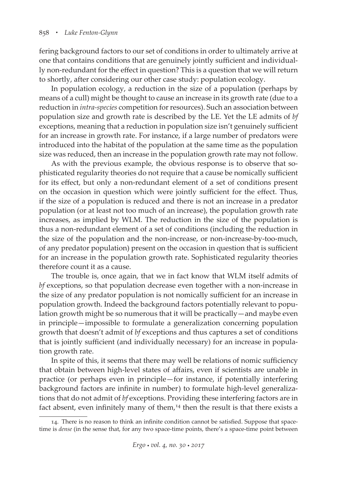fering background factors to our set of conditions in order to ultimately arrive at one that contains conditions that are genuinely jointly sufficient and individually non-redundant for the effect in question? This is a question that we will return to shortly, after considering our other case study: population ecology.

In population ecology, a reduction in the size of a population (perhaps by means of a cull) might be thought to cause an increase in its growth rate (due to a reduction in *intra-species* competition for resources). Such an association between population size and growth rate is described by the LE. Yet the LE admits of *bf* exceptions, meaning that a reduction in population size isn't genuinely sufficient for an increase in growth rate. For instance, if a large number of predators were introduced into the habitat of the population at the same time as the population size was reduced, then an increase in the population growth rate may not follow.

As with the previous example, the obvious response is to observe that sophisticated regularity theories do not require that a cause be nomically sufficient for its effect, but only a non-redundant element of a set of conditions present on the occasion in question which were jointly sufficient for the effect. Thus, if the size of a population is reduced and there is not an increase in a predator population (or at least not too much of an increase), the population growth rate increases, as implied by WLM. The reduction in the size of the population is thus a non-redundant element of a set of conditions (including the reduction in the size of the population and the non-increase, or non-increase-by-too-much, of any predator population) present on the occasion in question that is sufficient for an increase in the population growth rate. Sophisticated regularity theories therefore count it as a cause.

The trouble is, once again, that we in fact know that WLM itself admits of *bf* exceptions, so that population decrease even together with a non-increase in the size of any predator population is not nomically sufficient for an increase in population growth. Indeed the background factors potentially relevant to population growth might be so numerous that it will be practically—and maybe even in principle—impossible to formulate a generalization concerning population growth that doesn't admit of *bf* exceptions and thus captures a set of conditions that is jointly sufficient (and individually necessary) for an increase in population growth rate.

In spite of this, it seems that there may well be relations of nomic sufficiency that obtain between high-level states of affairs, even if scientists are unable in practice (or perhaps even in principle—for instance, if potentially interfering background factors are infinite in number) to formulate high-level generalizations that do not admit of *bf* exceptions. Providing these interfering factors are in fact absent, even infinitely many of them,<sup>14</sup> then the result is that there exists a

<sup>14.</sup> There is no reason to think an infinite condition cannot be satisfied. Suppose that spacetime is *dense* (in the sense that, for any two space-time points, there's a space-time point between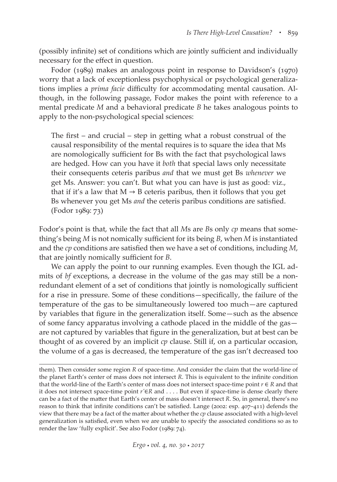(possibly infinite) set of conditions which are jointly sufficient and individually necessary for the effect in question.

Fodor (1989) makes an analogous point in response to Davidson's (1970) worry that a lack of exceptionless psychophysical or psychological generalizations implies a *prima facie* difficulty for accommodating mental causation. Although, in the following passage, Fodor makes the point with reference to a mental predicate *M* and a behavioral predicate *B* he takes analogous points to apply to the non-psychological special sciences:

The first – and crucial – step in getting what a robust construal of the causal responsibility of the mental requires is to square the idea that Ms are nomologically sufficient for Bs with the fact that psychological laws are hedged. How can you have it *both* that special laws only necessitate their consequents ceteris paribus *and* that we must get Bs *whenever* we get Ms. Answer: you can't. But what you can have is just as good: viz., that if it's a law that  $M \rightarrow B$  ceteris paribus, then it follows that you get Bs whenever you get Ms *and* the ceteris paribus conditions are satisfied. (Fodor 1989: 73)

Fodor's point is that, while the fact that all *M*s are *B*s only *cp* means that something's being *M* is not nomically sufficient for its being *B*, when *M* is instantiated and the *cp* conditions are satisfied then we have a set of conditions, including *M*, that are jointly nomically sufficient for *B*.

We can apply the point to our running examples. Even though the IGL admits of *bf* exceptions, a decrease in the volume of the gas may still be a nonredundant element of a set of conditions that jointly is nomologically sufficient for a rise in pressure. Some of these conditions—specifically, the failure of the temperature of the gas to be simultaneously lowered too much—are captured by variables that figure in the generalization itself. Some—such as the absence of some fancy apparatus involving a cathode placed in the middle of the gas are not captured by variables that figure in the generalization, but at best can be thought of as covered by an implicit *cp* clause. Still if, on a particular occasion, the volume of a gas is decreased, the temperature of the gas isn't decreased too

them). Then consider some region *R* of space-time. And consider the claim that the world-line of the planet Earth's center of mass does not intersect *R*. This is equivalent to the infinite condition that the world-line of the Earth's center of mass does not intersect space-time point *r* ∈ *R* and that it does not intersect space-time point *r′*∈*R* and . . . . But even if space-time is dense clearly there can be a fact of the matter that Earth's center of mass doesn't intersect *R*. So, in general, there's no reason to think that infinite conditions can't be satisfied. Lange (2002: esp. 407–411) defends the view that there may be a fact of the matter about whether the *cp* clause associated with a high-level generalization is satisfied, even when we are unable to specify the associated conditions so as to render the law 'fully explicit'. See also Fodor (1989: 74).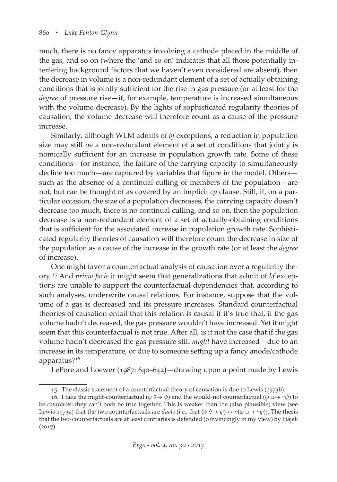much, there is no fancy apparatus involving a cathode placed in the middle of the gas, and so on (where the 'and so on' indicates that all those potentially interfering background factors that we haven't even considered are absent), then the decrease in volume is a non-redundant element of a set of actually obtaining conditions that is jointly sufficient for the rise in gas pressure (or at least for the *degree* of pressure rise—if, for example, temperature is increased simultaneous with the volume decrease). By the lights of sophisticated regularity theories of causation, the volume decrease will therefore count as a cause of the pressure increase.

Similarly, although WLM admits of *bf* exceptions, a reduction in population size may still be a non-redundant element of a set of conditions that jointly is nomically sufficient for an increase in population growth rate. Some of these conditions—for instance, the failure of the carrying capacity to simultaneously decline too much—are captured by variables that figure in the model. Others such as the absence of a continual culling of members of the population—are not, but can be thought of as covered by an implicit *cp* clause. Still, if, on a particular occasion, the size of a population decreases, the carrying capacity doesn't decrease too much, there is no continual culling, and so on, then the population decrease is a non-redundant element of a set of actually-obtaining conditions that is sufficient for the associated increase in population growth rate. Sophisticated regularity theories of causation will therefore count the decrease in size of the population as a cause of the increase in the growth rate (or at least the *degree* of increase).

One might favor a counterfactual analysis of causation over a regularity theory.15 And *prima facie* it might seem that generalizations that admit of *bf* exceptions are unable to support the counterfactual dependencies that, according to such analyses, underwrite causal relations. For instance, suppose that the volume of a gas is decreased and its pressure increases. Standard counterfactual theories of causation entail that this relation is causal if it's true that, if the gas volume hadn't decreased, the gas pressure wouldn't have increased. Yet it might seem that this counterfactual is not true. After all, is it not the case that if the gas volume hadn't decreased the gas pressure still *might* have increased—due to an increase in its temperature, or due to someone setting up a fancy anode/cathode apparatus?16

LePore and Loewer (1987: 640–642)—drawing upon a point made by Lewis

<sup>15.</sup> The classic statement of a counterfactual theory of causation is due to Lewis (1973b).

<sup>16.</sup> I take the might-counterfactual ( $\phi \Diamond \rightarrow \psi$ ) and the would-not counterfactual ( $\phi \Box \rightarrow \sim \psi$ ) to be *contraries*: they can't both be true together. This is weaker than the (also plausible) view (see Lewis 1973a) that the two counterfactuals are *duals* (i.e., that  $(\phi \Diamond \rightarrow \psi) \leftrightarrow \neg(\phi \Box \rightarrow \neg \psi)$ ). The thesis that the two counterfactuals are at least contraries is defended (convincingly in my view) by Hájek (2017).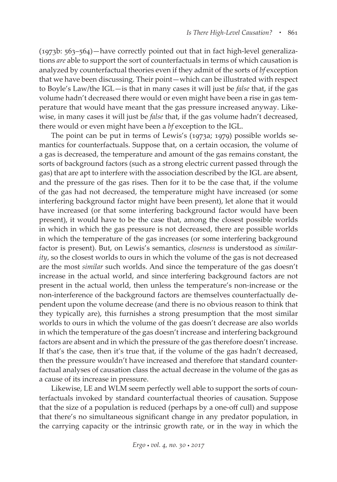(1973b: 563–564)—have correctly pointed out that in fact high-level generalizations *are* able to support the sort of counterfactuals in terms of which causation is analyzed by counterfactual theories even if they admit of the sorts of *bf* exception that we have been discussing. Their point—which can be illustrated with respect to Boyle's Law/the IGL—is that in many cases it will just be *false* that, if the gas volume hadn't decreased there would or even might have been a rise in gas temperature that would have meant that the gas pressure increased anyway. Likewise, in many cases it will just be *false* that, if the gas volume hadn't decreased, there would or even might have been a *bf* exception to the IGL.

The point can be put in terms of Lewis's (1973a; 1979) possible worlds semantics for counterfactuals. Suppose that, on a certain occasion, the volume of a gas is decreased, the temperature and amount of the gas remains constant, the sorts of background factors (such as a strong electric current passed through the gas) that are apt to interfere with the association described by the IGL are absent, and the pressure of the gas rises. Then for it to be the case that, if the volume of the gas had not decreased, the temperature might have increased (or some interfering background factor might have been present), let alone that it would have increased (or that some interfering background factor would have been present), it would have to be the case that, among the closest possible worlds in which in which the gas pressure is not decreased, there are possible worlds in which the temperature of the gas increases (or some interfering background factor is present). But, on Lewis's semantics, *closeness* is understood as *similarity*, so the closest worlds to ours in which the volume of the gas is not decreased are the most *similar* such worlds. And since the temperature of the gas doesn't increase in the actual world, and since interfering background factors are not present in the actual world, then unless the temperature's non-increase or the non-interference of the background factors are themselves counterfactually dependent upon the volume decrease (and there is no obvious reason to think that they typically are), this furnishes a strong presumption that the most similar worlds to ours in which the volume of the gas doesn't decrease are also worlds in which the temperature of the gas doesn't increase and interfering background factors are absent and in which the pressure of the gas therefore doesn't increase. If that's the case, then it's true that, if the volume of the gas hadn't decreased, then the pressure wouldn't have increased and therefore that standard counterfactual analyses of causation class the actual decrease in the volume of the gas as a cause of its increase in pressure.

Likewise, LE and WLM seem perfectly well able to support the sorts of counterfactuals invoked by standard counterfactual theories of causation. Suppose that the size of a population is reduced (perhaps by a one-off cull) and suppose that there's no simultaneous significant change in any predator population, in the carrying capacity or the intrinsic growth rate, or in the way in which the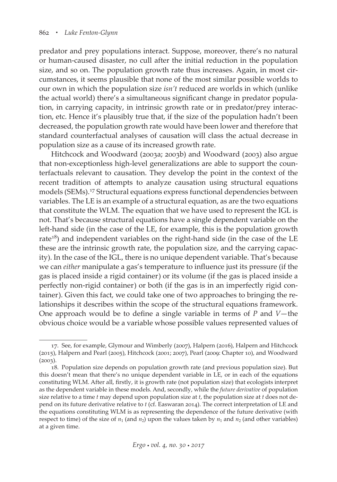predator and prey populations interact. Suppose, moreover, there's no natural or human-caused disaster, no cull after the initial reduction in the population size, and so on. The population growth rate thus increases. Again, in most circumstances, it seems plausible that none of the most similar possible worlds to our own in which the population size *isn't* reduced are worlds in which (unlike the actual world) there's a simultaneous significant change in predator population, in carrying capacity, in intrinsic growth rate or in predator/prey interaction, etc. Hence it's plausibly true that, if the size of the population hadn't been decreased, the population growth rate would have been lower and therefore that standard counterfactual analyses of causation will class the actual decrease in population size as a cause of its increased growth rate.

Hitchcock and Woodward (2003a; 2003b) and Woodward (2003) also argue that non-exceptionless high-level generalizations are able to support the counterfactuals relevant to causation. They develop the point in the context of the recent tradition of attempts to analyze causation using structural equations models (SEMs).17 Structural equations express functional dependencies between variables. The LE is an example of a structural equation, as are the two equations that constitute the WLM. The equation that we have used to represent the IGL is not. That's because structural equations have a single dependent variable on the left-hand side (in the case of the LE, for example, this is the population growth rate<sup>18</sup>) and independent variables on the right-hand side (in the case of the LE these are the intrinsic growth rate, the population size, and the carrying capacity). In the case of the IGL, there is no unique dependent variable. That's because we can *either* manipulate a gas's temperature to influence just its pressure (if the gas is placed inside a rigid container) or its volume (if the gas is placed inside a perfectly non-rigid container) or both (if the gas is in an imperfectly rigid container). Given this fact, we could take one of two approaches to bringing the relationships it describes within the scope of the structural equations framework. One approach would be to define a single variable in terms of *P* and *V*—the obvious choice would be a variable whose possible values represented values of

<sup>17.</sup> See, for example, Glymour and Wimberly (2007), Halpern (2016), Halpern and Hitchcock (2015), Halpern and Pearl (2005), Hitchcock (2001; 2007), Pearl (2009: Chapter 10), and Woodward  $(2003).$ 

<sup>18.</sup> Population size depends on population growth rate (and previous population size). But this doesn't mean that there's no unique dependent variable in LE, or in each of the equations constituting WLM. After all, firstly, it is growth rate (not population size) that ecologists interpret as the dependent variable in these models. And, secondly, while the *future derivative* of population size relative to a time *t* may depend upon population size at *t*, the population size at *t* does not depend on its future derivative relative to *t* (cf. Easwaran 2014). The correct interpretation of LE and the equations constituting WLM is as representing the dependence of the future derivative (with respect to time) of the size of  $n_1$  (and  $n_2$ ) upon the values taken by  $n_1$  and  $n_2$  (and other variables) at a given time.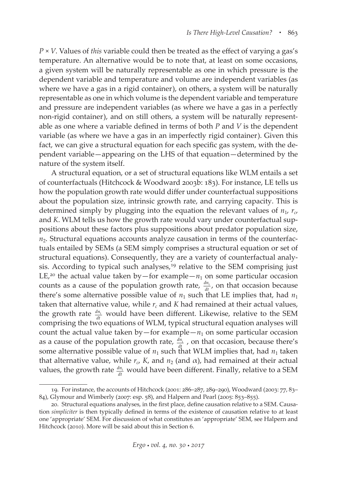*P* × *V*. Values of *this* variable could then be treated as the effect of varying a gas's temperature. An alternative would be to note that, at least on some occasions, a given system will be naturally representable as one in which pressure is the dependent variable and temperature and volume are independent variables (as where we have a gas in a rigid container), on others, a system will be naturally representable as one in which volume is the dependent variable and temperature and pressure are independent variables (as where we have a gas in a perfectly non-rigid container), and on still others, a system will be naturally representable as one where a variable defined in terms of both *P* and *V* is the dependent variable (as where we have a gas in an imperfectly rigid container). Given this fact, we can give a structural equation for each specific gas system, with the dependent variable—appearing on the LHS of that equation—determined by the nature of the system itself.

A structural equation, or a set of structural equations like WLM entails a set of counterfactuals (Hitchcock & Woodward 2003b: 183). For instance, LE tells us how the population growth rate would differ under counterfactual suppositions about the population size, intrinsic growth rate, and carrying capacity. This is determined simply by plugging into the equation the relevant values of  $n_1$ ,  $r_c$ , and *K*. WLM tells us how the growth rate would vary under counterfactual suppositions about these factors plus suppositions about predator population size,  $n<sub>2</sub>$ . Structural equations accounts analyze causation in terms of the counterfactuals entailed by SEMs (a SEM simply comprises a structural equation or set of structural equations). Consequently, they are a variety of counterfactual analysis. According to typical such analyses,<sup>19</sup> relative to the SEM comprising just LE,<sup>20</sup> the actual value taken by—for example— $n_1$  on some particular occasion counts as a cause of the population growth rate,  $\frac{dn_1}{dt}$ , on that occasion because there's some alternative possible value of  $n_1$  such that LE implies that, had  $n_1$ taken that alternative value, while  $r_c$  and *K* had remained at their actual values, the growth rate  $\frac{dn_1}{dt}$  would have been different. Likewise, relative to the SEM comprising the two equations of WLM, typical structural equation analyses will count the actual value taken by—for example— $n_1$  on some particular occasion as a cause of the population growth rate,  $\frac{dn_1}{dt}$ , on that occasion, because there's some alternative possible value of  $n_1$  such that WLM implies that, had  $n_1$  taken that alternative value, while  $r_c$ , *K*, and  $n_2$  (and  $\alpha$ ), had remained at their actual values, the growth rate  $\frac{dn_1}{dt}$  would have been different. Finally, relative to a SEM

<sup>19.</sup> For instance, the accounts of Hitchcock (2001: 286–287, 289–290), Woodward (2003: 77, 83– 84), Glymour and Wimberly (2007: esp. 58), and Halpern and Pearl (2005: 853–855).

<sup>20.</sup> Structural equations analyses, in the first place, define causation relative to a SEM. Causation *simpliciter* is then typically defined in terms of the existence of causation relative to at least one 'appropriate' SEM. For discussion of what constitutes an 'appropriate' SEM, see Halpern and Hitchcock (2010). More will be said about this in Section 6.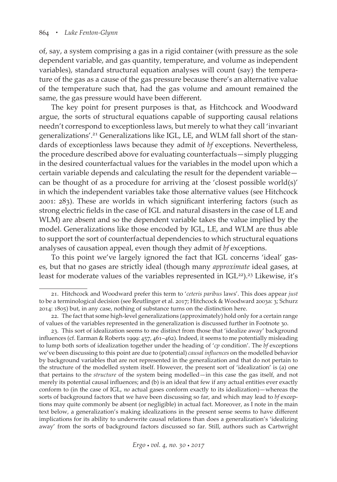of, say, a system comprising a gas in a rigid container (with pressure as the sole dependent variable, and gas quantity, temperature, and volume as independent variables), standard structural equation analyses will count (say) the temperature of the gas as a cause of the gas pressure because there's an alternative value of the temperature such that, had the gas volume and amount remained the same, the gas pressure would have been different.

The key point for present purposes is that, as Hitchcock and Woodward argue, the sorts of structural equations capable of supporting causal relations needn't correspond to exceptionless laws, but merely to what they call 'invariant generalizations'.21 Generalizations like IGL, LE, and WLM fall short of the standards of exceptionless laws because they admit of *bf* exceptions. Nevertheless, the procedure described above for evaluating counterfactuals—simply plugging in the desired counterfactual values for the variables in the model upon which a certain variable depends and calculating the result for the dependent variable can be thought of as a procedure for arriving at the 'closest possible world(s)' in which the independent variables take those alternative values (see Hitchcock 2001: 283). These are worlds in which significant interfering factors (such as strong electric fields in the case of IGL and natural disasters in the case of LE and WLM) are absent and so the dependent variable takes the value implied by the model. Generalizations like those encoded by IGL, LE, and WLM are thus able to support the sort of counterfactual dependencies to which structural equations analyses of causation appeal, even though they admit of *bf* exceptions.

To this point we've largely ignored the fact that IGL concerns 'ideal' gases, but that no gases are strictly ideal (though many *approximate* ideal gases, at least for moderate values of the variables represented in IGL<sup>22</sup>).<sup>23</sup> Likewise, it's

<sup>21.</sup> Hitchcock and Woodward prefer this term to '*ceteris paribus* laws'. This does appear *just* to be a terminological decision (see Reutlinger et al. 2017; Hitchcock & Woodward 2003a: 3; Schurz 2014: 1805) but, in any case, nothing of substance turns on the distinction here.

<sup>22.</sup> The fact that some high-level generalizations (approximately) hold only for a certain range of values of the variables represented in the generalization is discussed further in Footnote 30.

<sup>23.</sup> This sort of idealization seems to me distinct from those that 'idealize away' background influences (cf. Earman & Roberts 1999: 457, 461–462). Indeed, it seems to me potentially misleading to lump both sorts of idealization together under the heading of '*cp* condition'. The *bf* exceptions we've been discussing to this point are due to (potential) *causal influences* on the modelled behavior by background variables that are not represented in the generalization and that do not pertain to the structure of the modelled system itself. However, the present sort of 'idealization' is (a) one that pertains to the *structure* of the system being modelled—in this case the gas itself, and not merely its potential causal influences; and (b) is an ideal that few if any actual entities ever exactly conform to (in the case of IGL, *no* actual gases conform exactly to its idealization)—whereas the sorts of background factors that we have been discussing so far, and which may lead to *bf* exceptions may quite commonly be absent (or negligible) in actual fact. Moreover, as I note in the main text below, a generalization's making idealizations in the present sense seems to have different implications for its ability to underwrite causal relations than does a generalization's 'idealizing away' from the sorts of background factors discussed so far. Still, authors such as Cartwright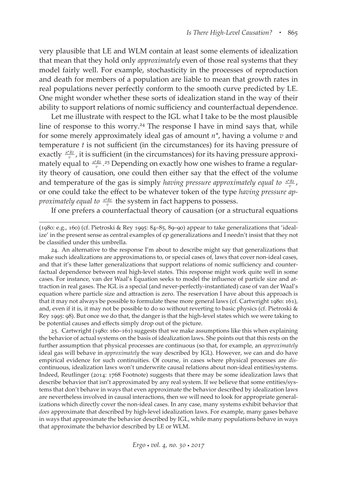very plausible that LE and WLM contain at least some elements of idealization that mean that they hold only *approximately* even of those real systems that they model fairly well. For example, stochasticity in the processes of reproduction and death for members of a population are liable to mean that growth rates in real populations never perfectly conform to the smooth curve predicted by LE. One might wonder whether these sorts of idealization stand in the way of their ability to support relations of nomic sufficiency and counterfactual dependence.

Let me illustrate with respect to the IGL what I take to be the most plausible line of response to this worry.<sup>24</sup> The response I have in mind says that, while for some merely approximately ideal gas of amount *n\**, having a volume *v* and temperature *t* is not sufficient (in the circumstances) for its having pressure of exactly  $\frac{n^*Rt}{v}$ , it is sufficient (in the circumstances) for its having pressure approximately equal to  $\frac{n^*Rt}{v}$  .<sup>25</sup> Depending on exactly how one wishes to frame a regularity theory of causation, one could then either say that the effect of the volume and temperature of the gas is simply *having pressure approximately equal to*  $\frac{n^*Rt}{v}$ , or one could take the effect to be whatever token of the type *having pressure approximately equal to*  $\frac{n^*Rt}{v}$  the system in fact happens to possess.

If one prefers a counterfactual theory of causation (or a structural equations

25. Cartwright (1980: 160–161) suggests that we make assumptions like this when explaining the behavior of actual systems on the basis of idealization laws. She points out that this rests on the further assumption that physical processes are continuous (so that, for example, an *approximately* ideal gas will behave in *approximately* the way described by IGL). However, we can and do have empirical evidence for such continuities. Of course, in cases where physical processes are *dis*continuous, idealization laws won't underwrite causal relations about non-ideal entities/systems. Indeed, Reutlinger (2014: 1768 Footnote) suggests that there may be some idealization laws that describe behavior that isn't approximated by any real system. If we believe that some entities/systems that don't behave in ways that even approximate the behavior described by idealization laws are nevertheless involved in causal interactions, then we will need to look for appropriate generalizations which directly cover the non-ideal cases. In any case, many systems exhibit behavior that *does* approximate that described by high-level idealization laws. For example, many gases behave in ways that approximate the behavior described by IGL, while many populations behave in ways that approximate the behavior described by LE or WLM.

<sup>(1980:</sup> e.g., 160) (cf. Pietroski & Rey 1995: 84–85, 89–90) appear to take generalizations that 'idealize' in the present sense as central examples of cp generalizations and I needn't insist that they not be classified under this umbrella.

<sup>24.</sup> An alternative to the response I'm about to describe might say that generalizations that make such idealizations are approximations to, or special cases of, laws that cover non-ideal cases, and that it's these latter generalizations that support relations of nomic sufficiency and counterfactual dependence between real high-level states. This response might work quite well in some cases. For instance, van der Waal's Equation seeks to model the influence of particle size and attraction in real gases. The IGL is a special (and never-perfectly-instantiated) case of van der Waal's equation where particle size and attraction is zero. The reservation I have about this approach is that it may not always be possible to formulate these more general laws (cf. Cartwright 1980: 161), and, even if it is, it may not be possible to do so without reverting to basic physics (cf. Pietroski & Rey 1995: 98). But once we do that, the danger is that the high-level states which we were taking to be potential causes and effects simply drop out of the picture.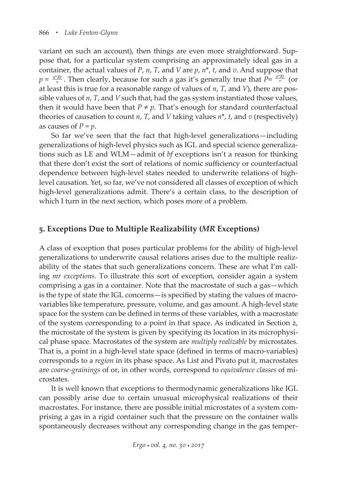variant on such an account), then things are even more straightforward. Suppose that, for a particular system comprising an approximately ideal gas in a container, the actual values of *P*, *n*, *T*, and *V* are *p*, *n*\*, *t*, and *v*. And suppose that *p* ≈  $\frac{n^*Rt}{v}$ . Then clearly, because for such a gas it's generally true that  $P \approx \frac{n^*Rt}{v}$  (or at least this is true for a reasonable range of values of *n*, *T*, and *V*), there are possible values of *n*, *T*, and *V* such that, had the gas system instantiated those values, then it would have been that  $P \neq p$ . That's enough for standard counterfactual theories of causation to count *n*, *T*, and *V* taking values *n*\*, *t*, and *v* (respectively) as causes of  $P = p$ .

So far we've seen that the fact that high-level generalizations—including generalizations of high-level physics such as IGL and special science generalizations such as LE and WLM—admit of *bf* exceptions isn't a reason for thinking that there don't exist the sort of relations of nomic sufficiency or counterfactual dependence between high-level states needed to underwrite relations of highlevel causation. Yet, so far, we've not considered all classes of exception of which high-level generalizations admit. There's a certain class, to the description of which I turn in the next section, which poses more of a problem.

## **5. Exceptions Due to Multiple Realizability (***MR* **Exceptions)**

A class of exception that poses particular problems for the ability of high-level generalizations to underwrite causal relations arises due to the multiple realizability of the states that such generalizations concern. These are what I'm calling *mr exceptions*. To illustrate this sort of exception, consider again a system comprising a gas in a container. Note that the macrostate of such a gas—which is the type of state the IGL concerns—is specified by stating the values of macrovariables like temperature, pressure, volume, and gas amount. A high-level state space for the system can be defined in terms of these variables, with a macrostate of the system corresponding to a point in that space. As indicated in Section 2, the microstate of the system is given by specifying its location in its microphysical phase space. Macrostates of the system are *multiply realizable* by microstates. That is, a point in a high-level state space (defined in terms of macro-variables) corresponds to a *region* in its phase space. As List and Pivato put it, macrostates are *coarse-grainings* of or, in other words, correspond to *equivalence classes* of microstates.

It is well known that exceptions to thermodynamic generalizations like IGL can possibly arise due to certain unusual microphysical realizations of their macrostates. For instance, there are possible initial microstates of a system comprising a gas in a rigid container such that the pressure on the container walls spontaneously decreases without any corresponding change in the gas temper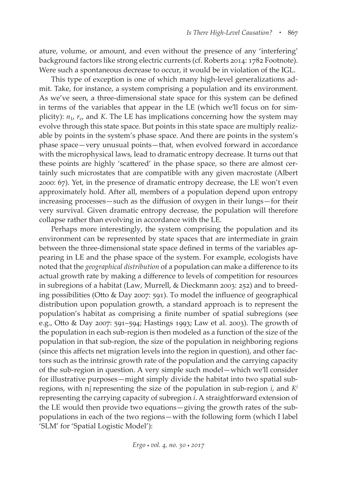ature, volume, or amount, and even without the presence of any 'interfering' background factors like strong electric currents (cf. Roberts 2014: 1782 Footnote). Were such a spontaneous decrease to occur, it would be in violation of the IGL.

This type of exception is one of which many high-level generalizations admit. Take, for instance, a system comprising a population and its environment. As we've seen, a three-dimensional state space for this system can be defined in terms of the variables that appear in the LE (which we'll focus on for simplicity):  $n_1$ ,  $r_{\rm c}$  and *K*. The LE has implications concerning how the system may evolve through this state space. But points in this state space are multiply realizable by points in the system's phase space. And there are points in the system's phase space—very unusual points—that, when evolved forward in accordance with the microphysical laws, lead to dramatic entropy decrease. It turns out that these points are highly 'scattered' in the phase space, so there are almost certainly such microstates that are compatible with any given macrostate (Albert 2000: 67). Yet, in the presence of dramatic entropy decrease, the LE won't even approximately hold. After all, members of a population depend upon entropy increasing processes—such as the diffusion of oxygen in their lungs—for their very survival. Given dramatic entropy decrease, the population will therefore collapse rather than evolving in accordance with the LE.

Perhaps more interestingly, the system comprising the population and its environment can be represented by state spaces that are intermediate in grain between the three-dimensional state space defined in terms of the variables appearing in LE and the phase space of the system. For example, ecologists have noted that the *geographical distribution* of a population can make a difference to its actual growth rate by making a difference to levels of competition for resources in subregions of a habitat (Law, Murrell, & Dieckmann 2003: 252) and to breeding possibilities (Otto & Day 2007: 591). To model the influence of geographical distribution upon population growth, a standard approach is to represent the population's habitat as comprising a finite number of spatial subregions (see e.g., Otto & Day 2007: 591–594; Hastings 1993; Law et al. 2003). The growth of the population in each sub-region is then modeled as a function of the size of the population in that sub-region, the size of the population in neighboring regions (since this affects net migration levels into the region in question), and other factors such as the intrinsic growth rate of the population and the carrying capacity of the sub-region in question. A very simple such model—which we'll consider for illustrative purposes—might simply divide the habitat into two spatial subregions, with  $n_1^i$  representing the size of the population in sub-region *i*, and  $K^i$ representing the carrying capacity of subregion *i*. A straightforward extension of the LE would then provide two equations—giving the growth rates of the subpopulations in each of the two regions—with the following form (which I label 'SLM' for 'Spatial Logistic Model'):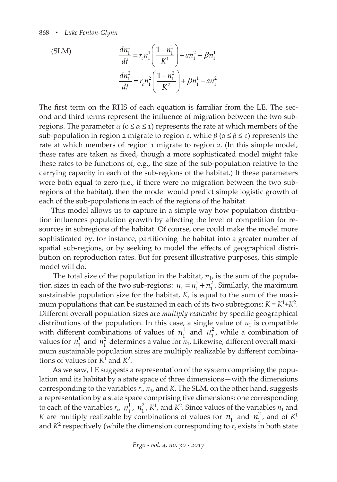(SLM)  
\n
$$
\frac{dn_1^1}{dt} = r_c n_1^1 \left( \frac{1 - n_1^1}{K^1} \right) + a n_1^2 - \beta n_1^1
$$
\n
$$
\frac{dn_1^2}{dt} = r_c n_1^2 \left( \frac{1 - n_1^2}{K^2} \right) + \beta n_1^1 - a n_1^2
$$

The first term on the RHS of each equation is familiar from the LE. The second and third terms represent the influence of migration between the two subregions. The parameter  $\alpha$  ( $0 \le \alpha \le 1$ ) represents the rate at which members of the sub-population in region 2 migrate to region 1, while *β* ( $o ≤ β ≤ 1$ ) represents the rate at which members of region 1 migrate to region 2. (In this simple model, these rates are taken as fixed, though a more sophisticated model might take these rates to be functions of, e.g., the size of the sub-population relative to the carrying capacity in each of the sub-regions of the habitat.) If these parameters were both equal to zero (i.e., if there were no migration between the two subregions of the habitat), then the model would predict simple logistic growth of each of the sub-populations in each of the regions of the habitat.

This model allows us to capture in a simple way how population distribution influences population growth by affecting the level of competition for resources in subregions of the habitat. Of course, one could make the model more sophisticated by, for instance, partitioning the habitat into a greater number of spatial sub-regions, or by seeking to model the effects of geographical distribution on reproduction rates. But for present illustrative purposes, this simple model will do.

The total size of the population in the habitat,  $n_1$ , is the sum of the population sizes in each of the two sub-regions:  $n_1 = n_1^1 + n_1^2$ . Similarly, the maximum sustainable population size for the habitat, *K*, is equal to the sum of the maximum populations that can be sustained in each of its two subregions:  $K = K^1 + K^2$ . Different overall population sizes are *multiply realizable* by specific geographical distributions of the population. In this case, a single value of  $n_1$  is compatible with different combinations of values of  $n_1^1$  and  $n_1^2$ , while a combination of values for  $n_1^1$  and  $n_1^2$  determines a value for  $n_1$ . Likewise, different overall maximum sustainable population sizes are multiply realizable by different combinations of values for  $K^1$  and  $K^2$ .

 As we saw, LE suggests a representation of the system comprising the population and its habitat by a state space of three dimensions—with the dimensions corresponding to the variables  $r_c$ ,  $n_1$ , and *K*. The SLM, on the other hand, suggests a representation by a state space comprising five dimensions: one corresponding to each of the variables  $r_c$ ,  $n_1^1$ ,  $n_1^2$ ,  $K^1$ , and  $K^2$ . Since values of the variables  $n_1$  and *K* are multiply realizable by combinations of values for  $n_1^1$  and  $n_1^2$ , and of  $K^1$ and  $K^2$  respectively (while the dimension corresponding to  $r_c$  exists in both state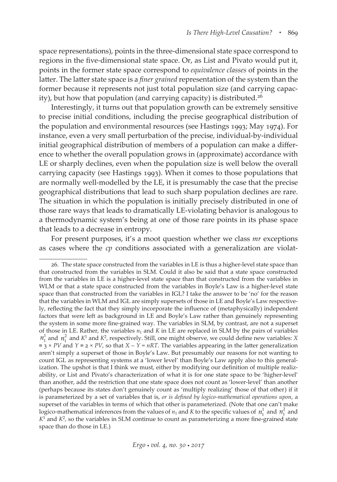space representations), points in the three-dimensional state space correspond to regions in the five-dimensional state space. Or, as List and Pivato would put it, points in the former state space correspond to *equivalence classes* of points in the latter. The latter state space is a *finer grained* representation of the system than the former because it represents not just total population size (and carrying capacity), but how that population (and carrying capacity) is distributed.<sup>26</sup>

Interestingly, it turns out that population growth can be extremely sensitive to precise initial conditions, including the precise geographical distribution of the population and environmental resources (see Hastings 1993; May 1974). For instance, even a very small perturbation of the precise, individual-by-individual initial geographical distribution of members of a population can make a difference to whether the overall population grows in (approximate) accordance with LE or sharply declines, even when the population size is well below the overall carrying capacity (see Hastings 1993). When it comes to those populations that are normally well-modelled by the LE, it is presumably the case that the precise geographical distributions that lead to such sharp population declines are rare. The situation in which the population is initially precisely distributed in one of those rare ways that leads to dramatically LE-violating behavior is analogous to a thermodynamic system's being at one of those rare points in its phase space that leads to a decrease in entropy.

For present purposes, it's a moot question whether we class *mr* exceptions as cases where the *cp* conditions associated with a generalization are violat-

<sup>26.</sup> The state space constructed from the variables in LE is thus a higher-level state space than that constructed from the variables in SLM. Could it also be said that a state space constructed from the variables in LE is a higher-level state space than that constructed from the variables in WLM or that a state space constructed from the variables in Boyle's Law is a higher-level state space than that constructed from the variables in IGL? I take the answer to be 'no' for the reason that the variables in WLM and IGL are simply supersets of those in LE and Boyle's Law respectively, reflecting the fact that they simply incorporate the influence of (metaphysically) independent factors that were left as background in LE and Boyle's Law rather than genuinely representing the system in some more fine-grained way. The variables in SLM, by contrast, are not a superset of those in LE. Rather, the variables  $n_1$  and  $K$  in LE are replaced in SLM by the pairs of variables  $n_1^1$  and  $n_1^2$  and  $K^1$  and  $K^2$ , respectively. Still, one might observe, we could define new variables: *X*  $\equiv$  3 × *PV* and *Y*  $\equiv$  2 × *PV*, so that *X* – *Y* = *nRT*. The variables appearing in the latter generalization aren't simply a superset of those in Boyle's Law. But presumably our reasons for not wanting to count IGL as representing systems at a 'lower level' than Boyle's Law apply also to this generalization. The upshot is that I think we must, either by modifying our definition of multiple realizability, or List and Pivato's characterization of what it is for one state space to be 'higher-level' than another, add the restriction that one state space does not count as 'lower-level' than another (perhaps because its states don't genuinely count as 'multiply realizing' those of that other) if it is parameterized by a set of variables that is, *or is defined by logico-mathematical operations upon*, a superset of the variables in terms of which that other is parameterized. (Note that one can't make logico-mathematical inferences from the values of  $n_1$  and *K* to the specific values of  $n_1^1$  and  $n_1^2$  and  $K<sup>1</sup>$  and  $K<sup>2</sup>$ , so the variables in SLM continue to count as parameterizing a more fine-grained state space than do those in LE.)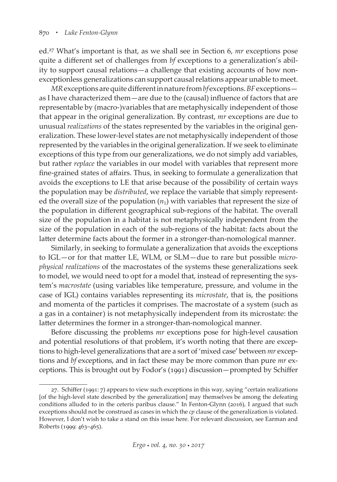ed.27 What's important is that, as we shall see in Section 6, *mr* exceptions pose quite a different set of challenges from *bf* exceptions to a generalization's ability to support causal relations—a challenge that existing accounts of how nonexceptionless generalizations can support causal relations appear unable to meet.

*MR* exceptions are quite different in nature from *bf* exceptions. *BF* exceptions as I have characterized them—are due to the (causal) influence of factors that are representable by (macro-)variables that are metaphysically independent of those that appear in the original generalization. By contrast, *mr* exceptions are due to unusual *realizations* of the states represented by the variables in the original generalization. These lower-level states are not metaphysically independent of those represented by the variables in the original generalization. If we seek to eliminate exceptions of this type from our generalizations, we do not simply add variables, but rather *replace* the variables in our model with variables that represent more fine-grained states of affairs. Thus, in seeking to formulate a generalization that avoids the exceptions to LE that arise because of the possibility of certain ways the population may be *distributed*, we replace the variable that simply represented the overall size of the population  $(n_1)$  with variables that represent the size of the population in different geographical sub-regions of the habitat. The overall size of the population in a habitat is not metaphysically independent from the size of the population in each of the sub-regions of the habitat: facts about the latter determine facts about the former in a stronger-than-nomological manner.

Similarly, in seeking to formulate a generalization that avoids the exceptions to IGL—or for that matter LE, WLM, or SLM—due to rare but possible *microphysical realizations* of the macrostates of the systems these generalizations seek to model, we would need to opt for a model that, instead of representing the system's *macrostate* (using variables like temperature, pressure, and volume in the case of IGL) contains variables representing its *microstate*, that is, the positions and momenta of the particles it comprises. The macrostate of a system (such as a gas in a container) is not metaphysically independent from its microstate: the latter determines the former in a stronger-than-nomological manner.

Before discussing the problems *mr* exceptions pose for high-level causation and potential resolutions of that problem, it's worth noting that there are exceptions to high-level generalizations that are a sort of 'mixed case' between *mr* exceptions and *bf* exceptions, and in fact these may be more common than pure *mr* exceptions. This is brought out by Fodor's (1991) discussion—prompted by Schiffer

 $27.$  Schiffer (1991: 7) appears to view such exceptions in this way, saying "certain realizations [of the high-level state described by the generalization] may themselves be among the defeating conditions alluded to in the ceteris paribus clause." In Fenton-Glynn (2016), I argued that such exceptions should not be construed as cases in which the *cp* clause of the generalization is violated. However, I don't wish to take a stand on this issue here. For relevant discussion, see Earman and Roberts (1999: 463–465).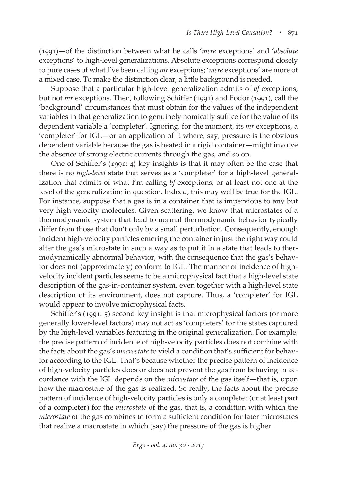(1991)—of the distinction between what he calls '*mere* exceptions' and '*absolute* exceptions' to high-level generalizations. Absolute exceptions correspond closely to pure cases of what I've been calling *mr* exceptions; '*mere* exceptions' are more of a mixed case. To make the distinction clear, a little background is needed.

Suppose that a particular high-level generalization admits of *bf* exceptions, but not *mr* exceptions. Then, following Schiffer (1991) and Fodor (1991), call the 'background' circumstances that must obtain for the values of the independent variables in that generalization to genuinely nomically suffice for the value of its dependent variable a 'completer'. Ignoring, for the moment, its *mr* exceptions, a 'completer' for IGL—or an application of it where, say, pressure is the obvious dependent variable because the gas is heated in a rigid container—might involve the absence of strong electric currents through the gas, and so on.

One of Schiffer's (1991: 4) key insights is that it may often be the case that there is no *high-level* state that serves as a 'completer' for a high-level generalization that admits of what I'm calling *bf* exceptions, or at least not one at the level of the generalization in question. Indeed, this may well be true for the IGL. For instance, suppose that a gas is in a container that is impervious to any but very high velocity molecules. Given scattering, we know that microstates of a thermodynamic system that lead to normal thermodynamic behavior typically differ from those that don't only by a small perturbation. Consequently, enough incident high-velocity particles entering the container in just the right way could alter the gas's microstate in such a way as to put it in a state that leads to thermodynamically abnormal behavior, with the consequence that the gas's behavior does not (approximately) conform to IGL. The manner of incidence of highvelocity incident particles seems to be a microphysical fact that a high-level state description of the gas-in-container system, even together with a high-level state description of its environment, does not capture. Thus, a 'completer' for IGL would appear to involve microphysical facts.

Schiffer's (1991: 5) second key insight is that microphysical factors (or more generally lower-level factors) may not act as 'completers' for the states captured by the high-level variables featuring in the original generalization. For example, the precise pattern of incidence of high-velocity particles does not combine with the facts about the gas's *macrostate* to yield a condition that's sufficient for behavior according to the IGL. That's because whether the precise pattern of incidence of high-velocity particles does or does not prevent the gas from behaving in accordance with the IGL depends on the *microstate* of the gas itself—that is, upon how the macrostate of the gas is realized. So really, the facts about the precise pattern of incidence of high-velocity particles is only a completer (or at least part of a completer) for the *microstate* of the gas, that is, a condition with which the *microstate* of the gas combines to form a sufficient condition for later microstates that realize a macrostate in which (say) the pressure of the gas is higher.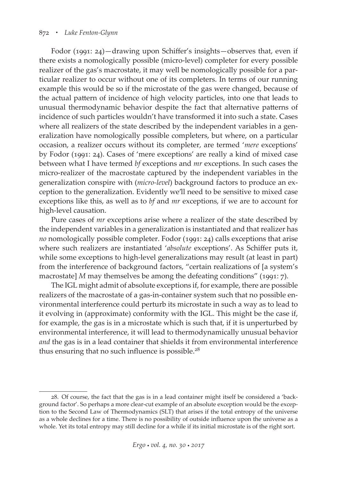#### 872 *• Luke Fenton-Glynn*

Fodor (1991: 24)—drawing upon Schiffer's insights—observes that, even if there exists a nomologically possible (micro-level) completer for every possible realizer of the gas's macrostate, it may well be nomologically possible for a particular realizer to occur without one of its completers. In terms of our running example this would be so if the microstate of the gas were changed, because of the actual pattern of incidence of high velocity particles, into one that leads to unusual thermodynamic behavior despite the fact that alternative patterns of incidence of such particles wouldn't have transformed it into such a state. Cases where all realizers of the state described by the independent variables in a generalization have nomologically possible completers, but where, on a particular occasion, a realizer occurs without its completer, are termed '*mere* exceptions' by Fodor (1991: 24). Cases of 'mere exceptions' are really a kind of mixed case between what I have termed *bf* exceptions and *mr* exceptions. In such cases the micro-realizer of the macrostate captured by the independent variables in the generalization conspire with (*micro-level*) background factors to produce an exception to the generalization. Evidently we'll need to be sensitive to mixed case exceptions like this, as well as to *bf* and *mr* exceptions, if we are to account for high-level causation.

Pure cases of *mr* exceptions arise where a realizer of the state described by the independent variables in a generalization is instantiated and that realizer has *no* nomologically possible completer. Fodor (1991: 24) calls exceptions that arise where such realizers are instantiated '*absolute* exceptions'. As Schiffer puts it, while some exceptions to high-level generalizations may result (at least in part) from the interference of background factors, "certain realizations of [a system's macrostate] *M* may themselves be among the defeating conditions" (1991: 7).

The IGL might admit of absolute exceptions if, for example, there are possible realizers of the macrostate of a gas-in-container system such that no possible environmental interference could perturb its microstate in such a way as to lead to it evolving in (approximate) conformity with the IGL. This might be the case if, for example, the gas is in a microstate which is such that, if it is unperturbed by environmental interference, it will lead to thermodynamically unusual behavior *and* the gas is in a lead container that shields it from environmental interference thus ensuring that no such influence is possible.<sup>28</sup>

<sup>28.</sup> Of course, the fact that the gas is in a lead container might itself be considered a 'background factor'. So perhaps a more clear-cut example of an absolute exception would be the exception to the Second Law of Thermodynamics (SLT) that arises if the total entropy of the universe as a whole declines for a time. There is no possibility of outside influence upon the universe as a whole. Yet its total entropy may still decline for a while if its initial microstate is of the right sort.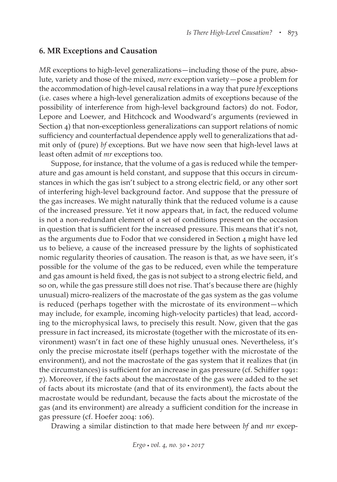#### **6. MR Exceptions and Causation**

*MR* exceptions to high-level generalizations—including those of the pure, absolute, variety and those of the mixed, *mere* exception variety—pose a problem for the accommodation of high-level causal relations in a way that pure *bf* exceptions (i.e. cases where a high-level generalization admits of exceptions because of the possibility of interference from high-level background factors) do not. Fodor, Lepore and Loewer, and Hitchcock and Woodward's arguments (reviewed in Section 4) that non-exceptionless generalizations can support relations of nomic sufficiency and counterfactual dependence apply well to generalizations that admit only of (pure) *bf* exceptions. But we have now seen that high-level laws at least often admit of *mr* exceptions too.

Suppose, for instance, that the volume of a gas is reduced while the temperature and gas amount is held constant, and suppose that this occurs in circumstances in which the gas isn't subject to a strong electric field, or any other sort of interfering high-level background factor. And suppose that the pressure of the gas increases. We might naturally think that the reduced volume is a cause of the increased pressure. Yet it now appears that, in fact, the reduced volume is not a non-redundant element of a set of conditions present on the occasion in question that is sufficient for the increased pressure. This means that it's not, as the arguments due to Fodor that we considered in Section 4 might have led us to believe, a cause of the increased pressure by the lights of sophisticated nomic regularity theories of causation. The reason is that, as we have seen, it's possible for the volume of the gas to be reduced, even while the temperature and gas amount is held fixed, the gas is not subject to a strong electric field, and so on, while the gas pressure still does not rise. That's because there are (highly unusual) micro-realizers of the macrostate of the gas system as the gas volume is reduced (perhaps together with the microstate of its environment—which may include, for example, incoming high-velocity particles) that lead, according to the microphysical laws, to precisely this result. Now, given that the gas pressure in fact increased, its microstate (together with the microstate of its environment) wasn't in fact one of these highly unusual ones. Nevertheless, it's only the precise microstate itself (perhaps together with the microstate of the environment), and not the macrostate of the gas system that it realizes that (in the circumstances) is sufficient for an increase in gas pressure (cf. Schiffer 1991: 7). Moreover, if the facts about the macrostate of the gas were added to the set of facts about its microstate (and that of its environment), the facts about the macrostate would be redundant, because the facts about the microstate of the gas (and its environment) are already a sufficient condition for the increase in gas pressure (cf. Hoefer 2004: 106).

Drawing a similar distinction to that made here between *bf* and *mr* excep-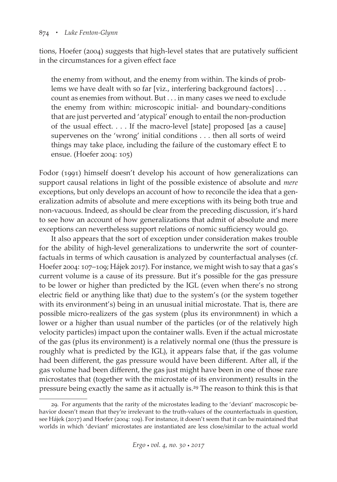#### 874 *• Luke Fenton-Glynn*

tions, Hoefer (2004) suggests that high-level states that are putatively sufficient in the circumstances for a given effect face

the enemy from without, and the enemy from within. The kinds of problems we have dealt with so far [viz., interfering background factors]... count as enemies from without. But . . . in many cases we need to exclude the enemy from within: microscopic initial- and boundary-conditions that are just perverted and 'atypical' enough to entail the non-production of the usual effect. . . . If the macro-level [state] proposed [as a cause] supervenes on the 'wrong' initial conditions . . . then all sorts of weird things may take place, including the failure of the customary effect E to ensue. (Hoefer 2004: 105)

Fodor (1991) himself doesn't develop his account of how generalizations can support causal relations in light of the possible existence of absolute and *mere* exceptions, but only develops an account of how to reconcile the idea that a generalization admits of absolute and mere exceptions with its being both true and non-vacuous. Indeed, as should be clear from the preceding discussion, it's hard to see how an account of how generalizations that admit of absolute and mere exceptions can nevertheless support relations of nomic sufficiency would go.

It also appears that the sort of exception under consideration makes trouble for the ability of high-level generalizations to underwrite the sort of counterfactuals in terms of which causation is analyzed by counterfactual analyses (cf. Hoefer 2004: 107–109; Hájek 2017). For instance, we might wish to say that a gas's current volume is a cause of its pressure. But it's possible for the gas pressure to be lower or higher than predicted by the IGL (even when there's no strong electric field or anything like that) due to the system's (or the system together with its environment's) being in an unusual initial microstate. That is, there are possible micro-realizers of the gas system (plus its environmnent) in which a lower or a higher than usual number of the particles (or of the relatively high velocity particles) impact upon the container walls. Even if the actual microstate of the gas (plus its environment) is a relatively normal one (thus the pressure is roughly what is predicted by the IGL), it appears false that, if the gas volume had been different, the gas pressure would have been different. After all, if the gas volume had been different, the gas just might have been in one of those rare microstates that (together with the microstate of its environment) results in the pressure being exactly the same as it actually is.29 The reason to think this is that

<sup>29.</sup> For arguments that the rarity of the microstates leading to the 'deviant' macroscopic behavior doesn't mean that they're irrelevant to the truth-values of the counterfactuals in question, see Hájek (2017) and Hoefer (2004: 109). For instance, it doesn't seem that it can be maintained that worlds in which 'deviant' microstates are instantiated are less close/similar to the actual world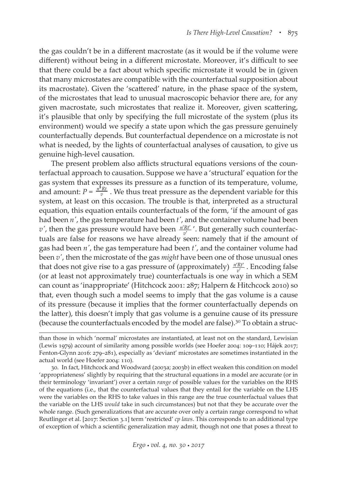the gas couldn't be in a different macrostate (as it would be if the volume were different) without being in a different microstate. Moreover, it's difficult to see that there could be a fact about which specific microstate it would be in (given that many microstates are compatible with the counterfactual supposition about its macrostate). Given the 'scattered' nature, in the phase space of the system, of the microstates that lead to unusual macroscopic behavior there are, for any given macrostate, such microstates that realize it. Moreover, given scattering, it's plausible that only by specifying the full microstate of the system (plus its environment) would we specify a state upon which the gas pressure genuinely counterfactually depends. But counterfactual dependence on a microstate is not what is needed, by the lights of counterfactual analyses of causation, to give us genuine high-level causation.

The present problem also afflicts structural equations versions of the counterfactual approach to causation. Suppose we have a 'structural' equation for the gas system that expresses its pressure as a function of its temperature, volume, and amount:  $P = \frac{n^2 R t}{v}$ . We thus treat pressure as the dependent variable for this system, at least on this occasion. The trouble is that, interpreted as a structural equation, this equation entails counterfactuals of the form, 'if the amount of gas had been *n′*, the gas temperature had been *t′*, and the container volume had been  $v'$ , then the gas pressure would have been  $\frac{n'Rt}{v'}$  $\frac{Rt'}{v'}$ . But generally such counterfactuals are false for reasons we have already seen: namely that if the amount of gas had been *n′*, the gas temperature had been *t′*, and the container volume had been *v′*, then the microstate of the gas *might* have been one of those unusual ones that does not give rise to a gas pressure of (approximately)  $\frac{n'Rt}{v'}$  $\frac{\textit{'Rt}'}{\textit{v}'}$ . Encoding false (or at least not approximately true) counterfactuals is one way in which a SEM can count as 'inappropriate' (Hitchcock 2001: 287; Halpern & Hitchcock 2010) so that, even though such a model seems to imply that the gas volume is a cause of its pressure (because it implies that the former counterfactually depends on the latter), this doesn't imply that gas volume is a genuine cause of its pressure (because the counterfactuals encoded by the model are false).<sup>30</sup> To obtain a struc-

than those in which 'normal' microstates are instantiated, at least not on the standard, Lewisian (Lewis 1979) account of similarity among possible worlds (see Hoefer 2004: 109–110; Hájek 2017; Fenton-Glynn 2016: 279–281), especially as 'deviant' microstates are sometimes instantiated in the actual world (see Hoefer 2004: 110).

<sup>30.</sup> In fact, Hitchcock and Woodward (2003a; 2003b) in effect weaken this condition on model 'appropriateness' slightly by requiring that the structural equations in a model are accurate (or in their terminology 'invariant') over a certain *range* of possible values for the variables on the RHS of the equations (i.e., that the counterfactual values that they entail for the variable on the LHS were the variables on the RHS to take values in this range are the true counterfactual values that the variable on the LHS *would* take in such circumstances) but not that they be accurate over the whole range. (Such generalizations that are accurate over only a certain range correspond to what Reutlinger et al. [2017: Section 3.1] term 'restricted' *cp laws*. This corresponds to an additional type of exception of which a scientific generalization may admit, though not one that poses a threat to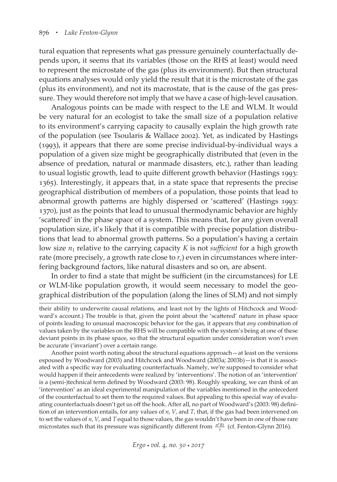tural equation that represents what gas pressure genuinely counterfactually depends upon, it seems that its variables (those on the RHS at least) would need to represent the microstate of the gas (plus its environment). But then structural equations analyses would only yield the result that it is the microstate of the gas (plus its environment), and not its macrostate, that is the cause of the gas pressure. They would therefore not imply that we have a case of high-level causation.

Analogous points can be made with respect to the LE and WLM. It would be very natural for an ecologist to take the small size of a population relative to its environment's carrying capacity to causally explain the high growth rate of the population (see Tsoularis & Wallace 2002). Yet, as indicated by Hastings (1993), it appears that there are some precise individual-by-individual ways a population of a given size might be geographically distributed that (even in the absence of predation, natural or manmade disasters, etc.), rather than leading to usual logistic growth, lead to quite different growth behavior (Hastings 1993: 1365). Interestingly, it appears that, in a state space that represents the precise geographical distribution of members of a population, those points that lead to abnormal growth patterns are highly dispersed or 'scattered' (Hastings 1993: 1370), just as the points that lead to unusual thermodynamic behavior are highly 'scattered' in the phase space of a system. This means that, for any given overall population size, it's likely that it is compatible with precise population distributions that lead to abnormal growth patterns. So a population's having a certain low size  $n_1$  relative to the carrying capacity *K* is not *sufficient* for a high growth rate (more precisely, a growth rate close to  $r_c$ ) even in circumstances where interfering background factors, like natural disasters and so on, are absent.

In order to find a state that might be sufficient (in the circumstances) for LE or WLM-like population growth, it would seem necessary to model the geographical distribution of the population (along the lines of SLM) and not simply

their ability to underwrite causal relations, and least not by the lights of Hitchcock and Woodward's account.) The trouble is that, given the point about the 'scattered' nature in phase space of points leading to unusual macroscopic behavior for the gas, it appears that *any* combination of values taken by the variables on the RHS will be compatible with the system's being at one of these deviant points in its phase space, so that the structural equation under consideration won't even be accurate ('invariant') over a certain range.

Another point worth noting about the structural equations approach—at least on the versions espoused by Woodward (2003) and Hitchcock and Woodward (2003a; 2003b)—is that it is associated with a specific way for evaluating counterfactuals. Namely, we're supposed to consider what would happen if their antecedents were realized by 'interventions'. The notion of an 'intervention' is a (semi-)technical term defined by Woodward (2003: 98). Roughly speaking, we can think of an 'intervention' as an ideal experimental manipulation of the variables mentioned in the antecedent of the counterfactual to set them to the required values. But appealing to this special way of evaluating counterfactuals doesn't get us off the hook. After all, no part of Woodward's (2003: 98) definition of an intervention entails, for any values of *n*, *V*, and *T*, that, if the gas had been intervened on to set the values of *n*, *V*, and *T* equal to those values, the gas wouldn't have been in one of those rare microstates such that its pressure was significantly different from  $\frac{n^*Rt}{v}$  (cf. Fenton-Glynn 2016).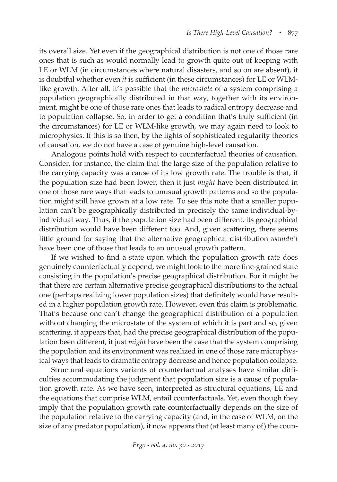its overall size. Yet even if the geographical distribution is not one of those rare ones that is such as would normally lead to growth quite out of keeping with LE or WLM (in circumstances where natural disasters, and so on are absent), it is doubtful whether even *it* is sufficient (in these circumstances) for LE or WLMlike growth. After all, it's possible that the *microstate* of a system comprising a population geographically distributed in that way, together with its environment, might be one of those rare ones that leads to radical entropy decrease and to population collapse. So, in order to get a condition that's truly sufficient (in the circumstances) for LE or WLM-like growth, we may again need to look to microphysics. If this is so then, by the lights of sophisticated regularity theories of causation, we do not have a case of genuine high-level causation.

Analogous points hold with respect to counterfactual theories of causation. Consider, for instance, the claim that the large size of the population relative to the carrying capacity was a cause of its low growth rate. The trouble is that, if the population size had been lower, then it just *might* have been distributed in one of those rare ways that leads to unusual growth patterns and so the population might still have grown at a low rate. To see this note that a smaller population can't be geographically distributed in precisely the same individual-byindividual way. Thus, if the population size had been different, its geographical distribution would have been different too. And, given scattering, there seems little ground for saying that the alternative geographical distribution *wouldn't* have been one of those that leads to an unusual growth pattern.

If we wished to find a state upon which the population growth rate does genuinely counterfactually depend, we might look to the more fine-grained state consisting in the population's precise geographical distribution. For it might be that there are certain alternative precise geographical distributions to the actual one (perhaps realizing lower population sizes) that definitely would have resulted in a higher population growth rate. However, even this claim is problematic. That's because one can't change the geographical distribution of a population without changing the microstate of the system of which it is part and so, given scattering, it appears that, had the precise geographical distribution of the population been different, it just *might* have been the case that the system comprising the population and its environment was realized in one of those rare microphysical ways that leads to dramatic entropy decrease and hence population collapse.

Structural equations variants of counterfactual analyses have similar difficulties accommodating the judgment that population size is a cause of population growth rate. As we have seen, interpreted as structural equations, LE and the equations that comprise WLM, entail counterfactuals. Yet, even though they imply that the population growth rate counterfactually depends on the size of the population relative to the carrying capacity (and, in the case of WLM, on the size of any predator population), it now appears that (at least many of) the coun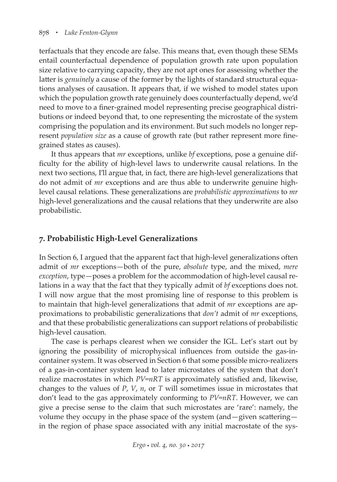terfactuals that they encode are false. This means that, even though these SEMs entail counterfactual dependence of population growth rate upon population size relative to carrying capacity, they are not apt ones for assessing whether the latter is *genuinely* a cause of the former by the lights of standard structural equations analyses of causation. It appears that, if we wished to model states upon which the population growth rate genuinely does counterfactually depend, we'd need to move to a finer-grained model representing precise geographical distributions or indeed beyond that, to one representing the microstate of the system comprising the population and its environment. But such models no longer represent *population size* as a cause of growth rate (but rather represent more finegrained states as causes).

It thus appears that *mr* exceptions, unlike *bf* exceptions, pose a genuine difficulty for the ability of high-level laws to underwrite causal relations. In the next two sections, I'll argue that, in fact, there are high-level generalizations that do not admit of *mr* exceptions and are thus able to underwrite genuine highlevel causal relations. These generalizations are *probabilistic approximations* to *mr* high-level generalizations and the causal relations that they underwrite are also probabilistic.

# **7. Probabilistic High-Level Generalizations**

In Section 6, I argued that the apparent fact that high-level generalizations often admit of *mr* exceptions—both of the pure, *absolute* type, and the mixed, *mere exception*, type—poses a problem for the accommodation of high-level causal relations in a way that the fact that they typically admit of *bf* exceptions does not. I will now argue that the most promising line of response to this problem is to maintain that high-level generalizations that admit of *mr* exceptions are approximations to probabilistic generalizations that *don't* admit of *mr* exceptions, and that these probabilistic generalizations can support relations of probabilistic high-level causation.

The case is perhaps clearest when we consider the IGL. Let's start out by ignoring the possibility of microphysical influences from outside the gas-incontainer system. It was observed in Section 6 that some possible micro-realizers of a gas-in-container system lead to later microstates of the system that don't realize macrostates in which *PV*=*nRT* is approximately satisfied and, likewise, changes to the values of *P*, *V*, *n*, or *T* will sometimes issue in microstates that don't lead to the gas approximately conforming to *PV*=*nRT*. However, we can give a precise sense to the claim that such microstates are 'rare': namely, the volume they occupy in the phase space of the system (and—given scattering in the region of phase space associated with any initial macrostate of the sys-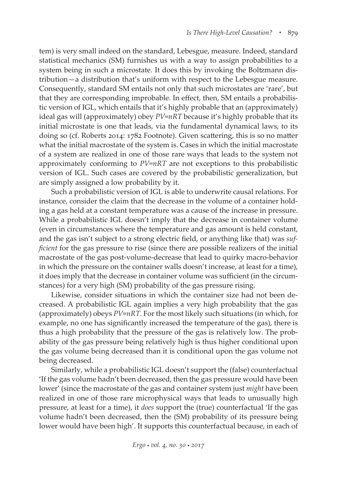tem) is very small indeed on the standard, Lebesgue, measure. Indeed, standard statistical mechanics (SM) furnishes us with a way to assign probabilities to a system being in such a microstate. It does this by invoking the Boltzmann distribution—a distribution that's uniform with respect to the Lebesgue measure. Consequently, standard SM entails not only that such microstates are 'rare', but that they are corresponding improbable. In effect, then, SM entails a probabilistic version of IGL, which entails that it's highly probable that an (approximately) ideal gas will (approximately) obey *PV*=*nRT* because it's highly probable that its initial microstate is one that leads, via the fundamental dynamical laws, to its doing so (cf. Roberts 2014: 1782 Footnote). Given scattering, this is so no matter what the initial macrostate of the system is. Cases in which the initial macrostate of a system are realized in one of those rare ways that leads to the system not approximately conforming to *PV*=*nRT* are not exceptions to this probabilistic version of IGL. Such cases are covered by the probabilistic generalization, but are simply assigned a low probability by it.

Such a probabilistic version of IGL is able to underwrite causal relations. For instance, consider the claim that the decrease in the volume of a container holding a gas held at a constant temperature was a cause of the increase in pressure. While a probabilistic IGL doesn't imply that the decrease in container volume (even in circumstances where the temperature and gas amount is held constant, and the gas isn't subject to a strong electric field, or anything like that) was *sufficient* for the gas pressure to rise (since there are possible realizers of the initial macrostate of the gas post-volume-decrease that lead to quirky macro-behavior in which the pressure on the container walls doesn't increase, at least for a time), it does imply that the decrease in container volume was sufficient (in the circumstances) for a very high (SM) probability of the gas pressure rising.

Likewise, consider situations in which the container size had not been decreased. A probabilistic IGL again implies a very high probability that the gas (approximately) obeys *PV*=*nRT*. For the most likely such situations (in which, for example, no one has significantly increased the temperature of the gas), there is thus a high probability that the pressure of the gas is relatively low. The probability of the gas pressure being relatively high is thus higher conditional upon the gas volume being decreased than it is conditional upon the gas volume not being decreased.

Similarly, while a probabilistic IGL doesn't support the (false) counterfactual 'If the gas volume hadn't been decreased, then the gas pressure would have been lower' (since the macrostate of the gas and container system just *might* have been realized in one of those rare microphysical ways that leads to unusually high pressure, at least for a time), it *does* support the (true) counterfactual 'If the gas volume hadn't been decreased, then the (SM) probability of its pressure being lower would have been high'. It supports this counterfactual because, in each of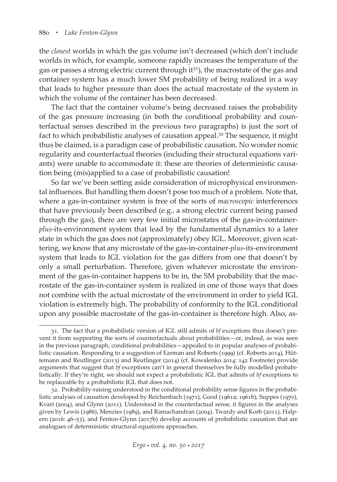the *closest* worlds in which the gas volume isn't decreased (which don't include worlds in which, for example, someone rapidly increases the temperature of the gas or passes a strong electric current through it<sup>31</sup>), the macrostate of the gas and container system has a much lower SM probability of being realized in a way that leads to higher pressure than does the actual macrostate of the system in which the volume of the container has been decreased.

The fact that the container volume's being decreased raises the probability of the gas pressure increasing (in both the conditional probability and counterfactual senses described in the previous two paragraphs) is just the sort of fact to which probabilistic analyses of causation appeal.<sup>32</sup> The sequence, it might thus be claimed, is a paradigm case of probabilistic causation. No wonder nomic regularity and counterfactual theories (including their structural equations variants) were unable to accommodate it: these are theories of deterministic causation being (mis)applied to a case of probabilistic causation!

So far we've been setting aside consideration of microphysical environmental influences. But handling them doesn't pose too much of a problem. Note that, where a gas-in-container system is free of the sorts of *macroscopic* interferences that have previously been described (e.g., a strong electric current being passed through the gas), there are very few initial microstates of the gas-in-container*plus*-its-environment system that lead by the fundamental dynamics to a later state in which the gas does not (approximately) obey IGL. Moreover, given scattering, we know that any microstate of the gas-in-container-*plus*-its-environment system that leads to IGL violation for the gas differs from one that doesn't by only a small perturbation. Therefore, given whatever microstate the environment of the gas-in-container happens to be in, the SM probability that the macrostate of the gas-in-container system is realized in one of those ways that does not combine with the actual microstate of the environment in order to yield IGL violation is extremely high. The probability of conformity to the IGL conditional upon any possible macrostate of the gas-in-container is therefore high. Also, as-

<sup>31.</sup> The fact that a probabilistic version of IGL still admits of *bf* exceptions thus doesn't prevent it from supporting the sorts of counterfactuals about probabilities—or, indeed, as was seen in the previous paragraph, conditional probabilities—appealed to in popular analyses of probabilistic causation. Responding to a suggestion of Earman and Roberts (1999) (cf. Roberts 2014), Hüttemann and Reutlinger (2013) and Reutlinger (2014) (cf. Kowalenko 2014: 142 Footnote) provide arguments that suggest that *bf* exceptions can't in general themselves be fully modelled probabilistically. If they're right, we should not expect a probabilistic IGL that admits of *bf* exceptions to be replaceable by a probabilistic IGL that does not.

<sup>32.</sup> Probability-raising understood in the conditional probability sense figures in the probabilistic analyses of causation developed by Reichenbach (1971), Good (1961a; 1961b), Suppes (1970), Kvart (2004), and Glynn (2011). Understood in the counterfactual sense, it figures in the analyses given by Lewis (1986), Menzies (1989), and Ramachandran (2004). Twardy and Korb (2011), Halpern (2016: 46–53), and Fenton-Glynn (2017b) develop accounts of probabilistic causation that are analogues of deterministic structural equations approaches.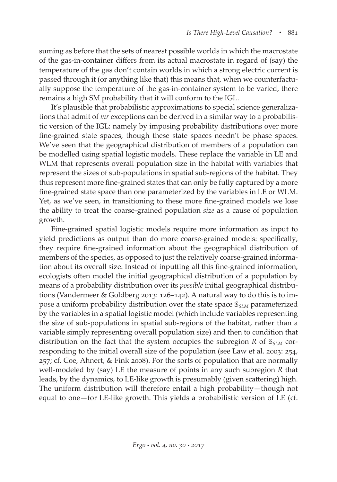suming as before that the sets of nearest possible worlds in which the macrostate of the gas-in-container differs from its actual macrostate in regard of (say) the temperature of the gas don't contain worlds in which a strong electric current is passed through it (or anything like that) this means that, when we counterfactually suppose the temperature of the gas-in-container system to be varied, there remains a high SM probability that it will conform to the IGL.

It's plausible that probabilistic approximations to special science generalizations that admit of *mr* exceptions can be derived in a similar way to a probabilistic version of the IGL: namely by imposing probability distributions over more fine-grained state spaces, though these state spaces needn't be phase spaces. We've seen that the geographical distribution of members of a population can be modelled using spatial logistic models. These replace the variable in LE and WLM that represents overall population size in the habitat with variables that represent the sizes of sub-populations in spatial sub-regions of the habitat. They thus represent more fine-grained states that can only be fully captured by a more fine-grained state space than one parameterized by the variables in LE or WLM. Yet, as we've seen, in transitioning to these more fine-grained models we lose the ability to treat the coarse-grained population *size* as a cause of population growth.

Fine-grained spatial logistic models require more information as input to yield predictions as output than do more coarse-grained models: specifically, they require fine-grained information about the geographical distribution of members of the species, as opposed to just the relatively coarse-grained information about its overall size. Instead of inputting all this fine-grained information, ecologists often model the initial geographical distribution of a population by means of a probability distribution over its *possible* initial geographical distributions (Vandermeer & Goldberg 2013: 126–142). A natural way to do this is to impose a uniform probability distribution over the state space  $\mathcal{S}_{SIM}$  parameterized by the variables in a spatial logistic model (which include variables representing the size of sub-populations in spatial sub-regions of the habitat, rather than a variable simply representing overall population size) and then to condition that distribution on the fact that the system occupies the subregion  $R$  of  $\mathbb{S}_{SLM}$  corresponding to the initial overall size of the population (see Law et al. 2003: 254, 257; cf. Coe, Ahnert, & Fink 2008). For the sorts of population that are normally well-modeled by (say) LE the measure of points in any such subregion *R* that leads, by the dynamics, to LE-like growth is presumably (given scattering) high. The uniform distribution will therefore entail a high probability—though not equal to one—for LE-like growth. This yields a probabilistic version of LE (cf.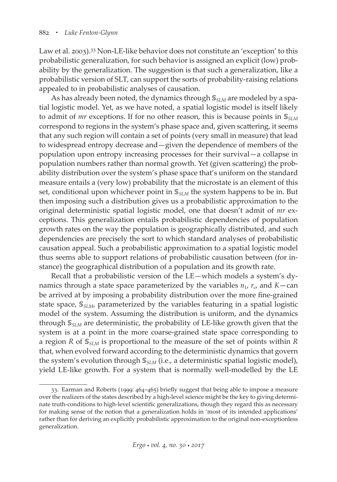Law et al. 2003).33 Non-LE-like behavior does not constitute an 'exception' to this probabilistic generalization, for such behavior is assigned an explicit (low) probability by the generalization. The suggestion is that such a generalization, like a probabilistic version of SLT, can support the sorts of probability-raising relations appealed to in probabilistic analyses of causation.

As has already been noted, the dynamics through  $\mathcal{S}_{SLM}$  are modeled by a spatial logistic model. Yet, as we have noted, a spatial logistic model is itself likely to admit of *mr* exceptions. If for no other reason, this is because points in  $\mathbb{S}_{SLM}$ correspond to regions in the system's phase space and, given scattering, it seems that any such region will contain a set of points (very small in measure) that lead to widespread entropy decrease and—given the dependence of members of the population upon entropy increasing processes for their survival—a collapse in population numbers rather than normal growth. Yet (given scattering) the probability distribution over the system's phase space that's uniform on the standard measure entails a (very low) probability that the microstate is an element of this set, conditional upon whichever point in  $S_{SIM}$  the system happens to be in. But then imposing such a distribution gives us a probabilistic approximation to the original deterministic spatial logistic model, one that doesn't admit of *mr* exceptions. This generalization entails probabilistic dependencies of population growth rates on the way the population is geographically distributed, and such dependencies are precisely the sort to which standard analyses of probabilistic causation appeal. Such a probabilistic approximation to a spatial logistic model thus seems able to support relations of probabilistic causation between (for instance) the geographical distribution of a population and its growth rate.

Recall that a probabilistic version of the LE—which models a system's dynamics through a state space parameterized by the variables  $n_1$ ,  $r_c$ , and  $K$ —can be arrived at by imposing a probability distribution over the more fine-grained state space,  $\mathcal{S}_{SIM}$ , parameterized by the variables featuring in a spatial logistic model of the system. Assuming the distribution is uniform, and the dynamics through  $\mathcal{S}_{SLM}$  are deterministic, the probability of LE-like growth given that the system is at a point in the more coarse-grained state space corresponding to a region *R* of *SLM* is proportional to the measure of the set of points within *R* that, when evolved forward according to the deterministic dynamics that govern the system's evolution through  $\mathcal{S}_{SIM}$  (i.e., a deterministic spatial logistic model), yield LE-like growth. For a system that is normally well-modelled by the LE

<sup>33.</sup> Earman and Roberts (1999: 464–465) briefly suggest that being able to impose a measure over the realizers of the states described by a high-level science might be the key to giving determinate truth-conditions to high-level scientific generalizations, though they regard this as necessary for making sense of the notion that a generalization holds in 'most of its intended applications' rather than for deriving an explicitly probabilistic approximation to the original non-exceptionless generalization.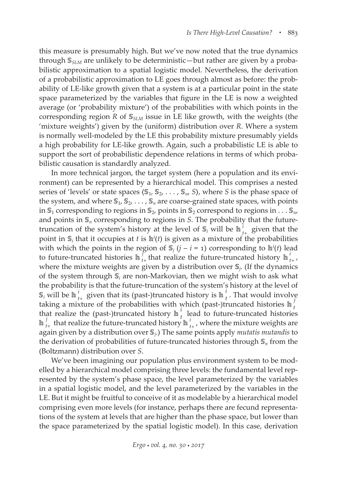this measure is presumably high. But we've now noted that the true dynamics through  $\mathcal{S}_{SLM}$  are unlikely to be deterministic—but rather are given by a probabilistic approximation to a spatial logistic model. Nevertheless, the derivation of a probabilistic approximation to LE goes through almost as before: the probability of LE-like growth given that a system is at a particular point in the state space parameterized by the variables that figure in the LE is now a weighted average (or 'probability mixture') of the probabilities with which points in the corresponding region *R* of  $\mathcal{S}_{SLM}$  issue in LE like growth, with the weights (the 'mixture weights') given by the (uniform) distribution over *R*. Where a system is normally well-modeled by the LE this probability mixture presumably yields a high probability for LE-like growth. Again, such a probabilistic LE is able to support the sort of probabilistic dependence relations in terms of which probabilistic causation is standardly analyzed.

In more technical jargon, the target system (here a population and its environment) can be represented by a hierarchical model. This comprises a nested series of 'levels' or state spaces  $\langle S_1, S_2, \ldots, S_n, S \rangle$ , where *S* is the phase space of the system, and where  $\mathbb{S}_1$ ,  $\mathbb{S}_2$ , ...,  $\mathbb{S}_n$  are coarse-grained state spaces, with points in  $\mathbb{S}_1$  corresponding to regions in  $\mathbb{S}_2$ , points in  $\mathbb{S}_2$  correspond to regions in . . .  $\mathbb{S}_n$ , and points in  $\mathcal{S}_n$  corresponding to regions in *S*. The probability that the futuretruncation of the system's history at the level of  $\mathbb{S}_i$  will be  $\mathbb{I}_{t+1}^i$  given that the point in  $\mathbb{S}_i$  that it occupies at *t* is  $\mathbb{h}^i(t)$  is given as a mixture of the probabilities with which the points in the region of  $\mathbb{S}_j$  ( $j - i = 1$ ) corresponding to  $\mathbb{h}^i(t)$  lead to future-truncated histories  $\ln \int_{t+1}^{t}$  that realize the future-truncated history  $\ln \int_{t+1}^{t}$ , where the mixture weights are given by a distribution over  $\mathcal{S}_i$ . (If the dynamics of the system through  $\mathcal{S}_i$  are non-Markovian, then we might wish to ask what the probability is that the future-truncation of the system's history at the level of  $\mathbb{S}_i$  will be  $\ln \frac{i}{t_+}$  given that its (past-)truncated history is  $\ln \frac{i}{t}$ . That would involve taking a mixture of the probabilities with which (past-)truncated histories  $\ln \int_t^t$ that realize the (past-)truncated history  $\ln \int_{t}^{t}$  lead to future-truncated histories  $\ln \frac{1}{t_{+}}$  that realize the future-truncated history  $\ln \frac{t}{t_{+}}$ , where the mixture weights are again given by a distribution over *j*.) The same points apply *mutatis mutandis* to the derivation of probabilities of future-truncated histories through  $\mathbb{S}_n$  from the (Boltzmann) distribution over *S*.

We've been imagining our population plus environment system to be modelled by a hierarchical model comprising three levels: the fundamental level represented by the system's phase space, the level parameterized by the variables in a spatial logistic model, and the level parameterized by the variables in the LE. But it might be fruitful to conceive of it as modelable by a hierarchical model comprising even more levels (for instance, perhaps there are fecund representations of the system at levels that are higher than the phase space, but lower than the space parameterized by the spatial logistic model). In this case, derivation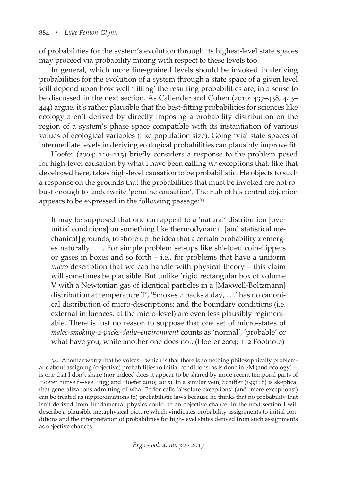of probabilities for the system's evolution through its highest-level state spaces may proceed via probability mixing with respect to these levels too.

In general, which more fine-grained levels should be invoked in deriving probabilities for the evolution of a system through a state space of a given level will depend upon how well 'fitting' the resulting probabilities are, in a sense to be discussed in the next section. As Callender and Cohen (2010: 437–438, 443– 444) argue, it's rather plausible that the best-fitting probabilities for sciences like ecology aren't derived by directly imposing a probability distribution on the region of a system's phase space compatible with its instantiation of various values of ecological variables (like population size). Going 'via' state spaces of intermediate levels in deriving ecological probabilities can plausibly improve fit.

Hoefer (2004: 110–113) briefly considers a response to the problem posed for high-level causation by what I have been calling *mr* exceptions that, like that developed here, takes high-level causation to be probabilistic. He objects to such a response on the grounds that the probabilities that must be invoked are not robust enough to underwrite 'genuine causation'. The nub of his central objection appears to be expressed in the following passage: 34

It may be supposed that one can appeal to a 'natural' distribution [over initial conditions] on something like thermodynamic [and statistical mechanical] grounds, to shore up the idea that a certain probability *x* emerges naturally. . . . For simple problem set-ups like shielded coin-flippers or gases in boxes and so forth – i.e., for problems that have a uniform *micro-*description that we can handle with physical theory – this claim will sometimes be plausible. But unlike 'rigid rectangular box of volume V with a Newtonian gas of identical particles in a [Maxwell-Boltzmann] distribution at temperature T', 'Smokes 2 packs a day, . . .' has no canonical distribution of micro-descriptions; and the boundary conditions (i.e. external influences, at the micro-level) are even less plausibly regimentable. There is just no reason to suppose that one set of micro-states of *males-smoking-2-packs-daily*+*environment* counts as 'normal', 'probable' or what have you, while another one does not. (Hoefer 2004: 112 Footnote)

<sup>34.</sup> Another worry that he voices—which is that there is something philosophically problematic about assigning (objective) probabilities to initial conditions, as is done in SM (and ecology) is one that I don't share (nor indeed does it appear to be shared by more recent temporal parts of Hoefer himself—see Frigg and Hoefer 2010; 2015). In a similar vein, Schiffer (1991: 8) is skeptical that generalizations admitting of what Fodor calls 'absolute exceptions' (and 'mere exceptions') can be treated as (approximations to) probabilistic laws because he thinks that no probability that isn't derived from fundamental physics could be an objective chance. In the next section I will describe a plausible metaphysical picture which vindicates probability assignments to initial conditions and the interpretation of probabilities for high-level states derived from such assignments as objective chances.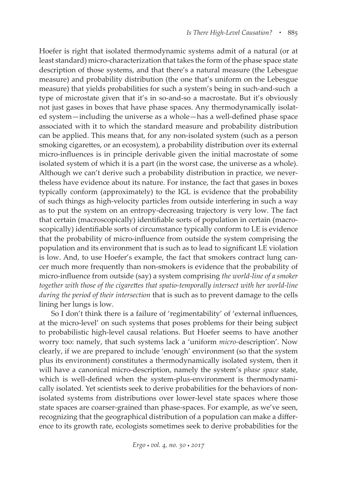Hoefer is right that isolated thermodynamic systems admit of a natural (or at least standard) micro-characterization that takes the form of the phase space state description of those systems, and that there's a natural measure (the Lebesgue measure) and probability distribution (the one that's uniform on the Lebesgue measure) that yields probabilities for such a system's being in such-and-such a type of microstate given that it's in so-and-so a macrostate. But it's obviously not just gases in boxes that have phase spaces. Any thermodynamically isolated system—including the universe as a whole—has a well-defined phase space associated with it to which the standard measure and probability distribution can be applied. This means that, for any non-isolated system (such as a person smoking cigarettes, or an ecosystem), a probability distribution over its external micro-influences is in principle derivable given the initial macrostate of some isolated system of which it is a part (in the worst case, the universe as a whole). Although we can't derive such a probability distribution in practice, we nevertheless have evidence about its nature. For instance, the fact that gases in boxes typically conform (approximately) to the IGL is evidence that the probability of such things as high-velocity particles from outside interfering in such a way as to put the system on an entropy-decreasing trajectory is very low. The fact that certain (macroscopically) identifiable sorts of population in certain (macroscopically) identifiable sorts of circumstance typically conform to LE is evidence that the probability of micro-influence from outside the system comprising the population and its environment that is such as to lead to significant LE violation is low. And, to use Hoefer's example, the fact that smokers contract lung cancer much more frequently than non-smokers is evidence that the probability of micro-influence from outside (say) a system comprising *the world-line of a smoker*  together with those of the cigarettes that spatio-temporally intersect with her world-line *during the period of their intersection* that is such as to prevent damage to the cells lining her lungs is low.

So I don't think there is a failure of 'regimentability' of 'external influences, at the micro-level' on such systems that poses problems for their being subject to probabilistic high-level causal relations. But Hoefer seems to have another worry too: namely, that such systems lack a 'uniform *micro-*description'. Now clearly, if we are prepared to include 'enough' environment (so that the system plus its environment) constitutes a thermodynamically isolated system, then it will have a canonical micro-description, namely the system's *phase space* state, which is well-defined when the system-plus-environment is thermodynamically isolated. Yet scientists seek to derive probabilities for the behaviors of nonisolated systems from distributions over lower-level state spaces where those state spaces are coarser-grained than phase-spaces. For example, as we've seen, recognizing that the geographical distribution of a population can make a difference to its growth rate, ecologists sometimes seek to derive probabilities for the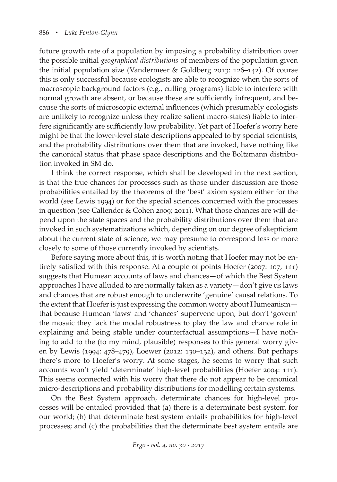future growth rate of a population by imposing a probability distribution over the possible initial *geographical distributions* of members of the population given the initial population size (Vandermeer & Goldberg 2013: 126–142). Of course this is only successful because ecologists are able to recognize when the sorts of macroscopic background factors (e.g., culling programs) liable to interfere with normal growth are absent, or because these are sufficiently infrequent, and because the sorts of microscopic external influences (which presumably ecologists are unlikely to recognize unless they realize salient macro-states) liable to interfere significantly are sufficiently low probability. Yet part of Hoefer's worry here might be that the lower-level state descriptions appealed to by special scientists, and the probability distributions over them that are invoked, have nothing like the canonical status that phase space descriptions and the Boltzmann distribution invoked in SM do.

I think the correct response, which shall be developed in the next section, is that the true chances for processes such as those under discussion are those probabilities entailed by the theorems of the 'best' axiom system either for the world (see Lewis 1994) or for the special sciences concerned with the processes in question (see Callender & Cohen 2009; 2011). What those chances are will depend upon the state spaces and the probability distributions over them that are invoked in such systematizations which, depending on our degree of skepticism about the current state of science, we may presume to correspond less or more closely to some of those currently invoked by scientists.

Before saying more about this, it is worth noting that Hoefer may not be entirely satisfied with this response. At a couple of points Hoefer (2007: 107, 111) suggests that Humean accounts of laws and chances—of which the Best System approaches I have alluded to are normally taken as a variety—don't give us laws and chances that are robust enough to underwrite 'genuine' causal relations. To the extent that Hoefer is just expressing the common worry about Humeanism that because Humean 'laws' and 'chances' supervene upon, but don't 'govern' the mosaic they lack the modal robustness to play the law and chance role in explaining and being stable under counterfactual assumptions—I have nothing to add to the (to my mind, plausible) responses to this general worry given by Lewis (1994: 478–479), Loewer (2012: 130–132), and others. But perhaps there's more to Hoefer's worry. At some stages, he seems to worry that such accounts won't yield 'determinate' high-level probabilities (Hoefer 2004: 111). This seems connected with his worry that there do not appear to be canonical micro-descriptions and probability distributions for modelling certain systems.

On the Best System approach, determinate chances for high-level processes will be entailed provided that (a) there is a determinate best system for our world; (b) that determinate best system entails probabilities for high-level processes; and (c) the probabilities that the determinate best system entails are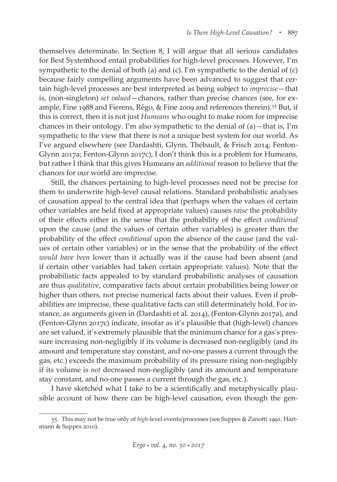themselves determinate. In Section 8, I will argue that all serious candidates for Best Systemhood entail probabilities for high-level processes. However, I'm sympathetic to the denial of both (a) and (c). I'm sympathetic to the denial of (c) because fairly compelling arguments have been advanced to suggest that certain high-level processes are best interpreted as being subject to *imprecise*—that is, (non-singleton) *set valued*—chances, rather than precise chances (see, for example, Fine 1988 and Fierens, Rêgo, & Fine 2009 and references therein).35 But, if this is correct, then it is not just *Humeans* who ought to make room for imprecise chances in their ontology. I'm also sympathetic to the denial of (a)—that is, I'm sympathetic to the view that there is not a unique best system for our world. As I've argued elsewhere (see Dardashti, Glynn, Thébault, & Frisch 2014; Fenton-Glynn 2017a; Fenton-Glynn 2017c), I don't think this is a problem for Humeans, but rather I think that this gives Humeans an *additional* reason to believe that the chances for our world are imprecise.

Still, the chances pertaining to high-level processes need not be precise for them to underwrite high-level causal relations. Standard probabilistic analyses of causation appeal to the central idea that (perhaps when the values of certain other variables are held fixed at appropriate values) causes *raise* the probability of their effects either in the sense that the probability of the effect *conditional* upon the cause (and the values of certain other variables) is greater than the probability of the effect *conditional* upon the absence of the cause (and the values of certain other variables) or in the sense that the probability of the effect *would have been* lower than it actually was if the cause had been absent (and if certain other variables had taken certain appropriate values). Note that the probabilistic facts appealed to by standard probabilistic analyses of causation are thus *qualitative*, comparative facts about certain probabilities being lower or higher than others, not precise numerical facts about their values. Even if probabilities are imprecise, these qualitative facts can still determinately hold. For instance, as arguments given in (Dardashti et al. 2014), (Fenton-Glynn 2017a), and (Fenton-Glynn 2017c) indicate, insofar as it's plausible that (high-level) chances are set valued, it's extremely plausible that the minimum chance for a gas's pressure increasing non-negligibly if its volume is decreased non-negligibly (and its amount and temperature stay constant, and no-one passes a current through the gas, etc.) exceeds the maximum probability of its pressure rising non-negligibly if its volume is *not* decreased non-negligibly (and its amount and temperature stay constant, and no-one passes a current through the gas, etc.).

I have sketched what I take to be a scientifically and metaphysically plausible account of how there can be high-level causation, even though the gen-

<sup>35.</sup> This may not be true only of *high*-level events/processes (see Suppes & Zanotti 1991; Hartmann & Suppes 2010).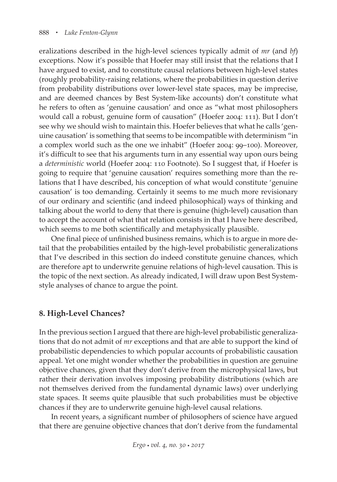eralizations described in the high-level sciences typically admit of *mr* (and *bf*) exceptions. Now it's possible that Hoefer may still insist that the relations that I have argued to exist, and to constitute causal relations between high-level states (roughly probability-raising relations, where the probabilities in question derive from probability distributions over lower-level state spaces, may be imprecise, and are deemed chances by Best System-like accounts) don't constitute what he refers to often as 'genuine causation' and once as "what most philosophers would call a robust, genuine form of causation" (Hoefer 2004: 111). But I don't see why we should wish to maintain this. Hoefer believes that what he calls 'genuine causation' is something that seems to be incompatible with determinism "in a complex world such as the one we inhabit" (Hoefer 2004: 99–100). Moreover, it's difficult to see that his arguments turn in any essential way upon ours being a *deterministic* world (Hoefer 2004: 110 Footnote). So I suggest that, if Hoefer is going to require that 'genuine causation' requires something more than the relations that I have described, his conception of what would constitute 'genuine causation' is too demanding. Certainly it seems to me much more revisionary of our ordinary and scientific (and indeed philosophical) ways of thinking and talking about the world to deny that there is genuine (high-level) causation than to accept the account of what that relation consists in that I have here described, which seems to me both scientifically and metaphysically plausible.

One final piece of unfinished business remains, which is to argue in more detail that the probabilities entailed by the high-level probabilistic generalizations that I've described in this section do indeed constitute genuine chances, which are therefore apt to underwrite genuine relations of high-level causation. This is the topic of the next section. As already indicated, I will draw upon Best Systemstyle analyses of chance to argue the point.

## **8. High-Level Chances?**

In the previous section I argued that there are high-level probabilistic generalizations that do not admit of *mr* exceptions and that are able to support the kind of probabilistic dependencies to which popular accounts of probabilistic causation appeal. Yet one might wonder whether the probabilities in question are genuine objective chances, given that they don't derive from the microphysical laws, but rather their derivation involves imposing probability distributions (which are not themselves derived from the fundamental dynamic laws) over underlying state spaces. It seems quite plausible that such probabilities must be objective chances if they are to underwrite genuine high-level causal relations.

In recent years, a significant number of philosophers of science have argued that there are genuine objective chances that don't derive from the fundamental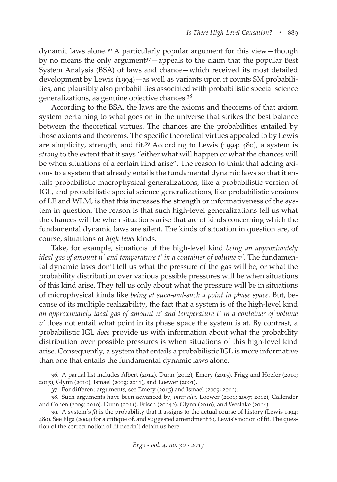dynamic laws alone.36 A particularly popular argument for this view—though by no means the only argument<sup>37</sup>—appeals to the claim that the popular Best System Analysis (BSA) of laws and chance—which received its most detailed development by Lewis (1994)—as well as variants upon it counts SM probabilities, and plausibly also probabilities associated with probabilistic special science generalizations, as genuine objective chances.38

According to the BSA, the laws are the axioms and theorems of that axiom system pertaining to what goes on in the universe that strikes the best balance between the theoretical virtues. The chances are the probabilities entailed by those axioms and theorems. The specific theoretical virtues appealed to by Lewis are simplicity, strength, and fit.39 According to Lewis (1994: 480), a system is *strong* to the extent that it says "either what will happen or what the chances will be when situations of a certain kind arise". The reason to think that adding axioms to a system that already entails the fundamental dynamic laws so that it entails probabilistic macrophysical generalizations, like a probabilistic version of IGL, and probabilistic special science generalizations, like probabilistic versions of LE and WLM, is that this increases the strength or informativeness of the system in question. The reason is that such high-level generalizations tell us what the chances will be when situations arise that are of kinds concerning which the fundamental dynamic laws are silent. The kinds of situation in question are, of course, situations of *high-level* kinds.

Take, for example, situations of the high-level kind *being an approximately ideal gas of amount n' and temperature t' in a container of volume v'*. The fundamental dynamic laws don't tell us what the pressure of the gas will be, or what the probability distribution over various possible pressures will be when situations of this kind arise. They tell us only about what the pressure will be in situations of microphysical kinds like *being at such-and-such a point in phase space*. But, because of its multiple realizability, the fact that a system is of the high-level kind *an approximately ideal gas of amount n' and temperature t' in a container of volume v'* does not entail what point in its phase space the system is at. By contrast, a probabilistic IGL *does* provide us with information about what the probability distribution over possible pressures is when situations of this high-level kind arise. Consequently, a system that entails a probabilistic IGL is more informative than one that entails the fundamental dynamic laws alone.

<sup>36.</sup> A partial list includes Albert (2012), Dunn (2012), Emery (2015), Frigg and Hoefer (2010; 2015), Glynn (2010), Ismael (2009; 2011), and Loewer (2001).

<sup>37.</sup> For different arguments, see Emery (2015) and Ismael (2009; 2011).

<sup>38.</sup> Such arguments have been advanced by, *inter alia*, Loewer (2001; 2007; 2012), Callender and Cohen (2009; 2010), Dunn (2011), Frisch (2014b), Glynn (2010), and Weslake (2014).

<sup>39.</sup> A system's *fit* is the probability that it assigns to the actual course of history (Lewis 1994: 480). See Elga (2004) for a critique of, and suggested amendment to, Lewis's notion of fit. The question of the correct notion of fit needn't detain us here.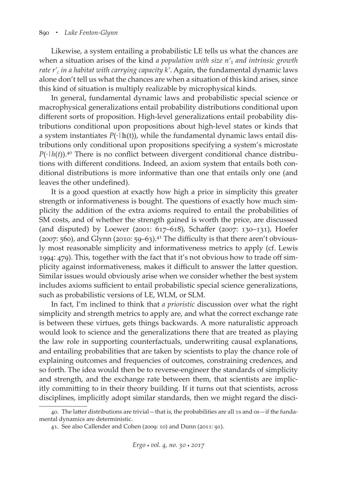Likewise, a system entailing a probabilistic LE tells us what the chances are when a situation arises of the kind *a population with size n'*<sup>1</sup> *and intrinsic growth rate r'c in a habitat with carrying capacity k'*. Again, the fundamental dynamic laws alone don't tell us what the chances are when a situation of this kind arises, since this kind of situation is multiply realizable by microphysical kinds.

In general, fundamental dynamic laws and probabilistic special science or macrophysical generalizations entail probability distributions conditional upon different sorts of proposition. High-level generalizations entail probability distributions conditional upon propositions about high-level states or kinds that a system instantiates  $P(\cdot|\ln(t))$ , while the fundamental dynamic laws entail distributions only conditional upon propositions specifying a system's microstate  $P(\cdot | h(t))$ .<sup>40</sup> There is no conflict between divergent conditional chance distributions with different conditions. Indeed, an axiom system that entails both conditional distributions is more informative than one that entails only one (and leaves the other undefined).

It is a good question at exactly how high a price in simplicity this greater strength or informativeness is bought. The questions of exactly how much simplicity the addition of the extra axioms required to entail the probabilities of SM costs, and of whether the strength gained is worth the price, are discussed (and disputed) by Loewer (2001: 617–618), Schaffer (2007: 130–131), Hoefer  $(2007: 560)$ , and Glynn  $(2010: 59-63).$ <sup>41</sup> The difficulty is that there aren't obviously most reasonable simplicity and informativeness metrics to apply (cf. Lewis 1994: 479). This, together with the fact that it's not obvious how to trade off simplicity against informativeness, makes it difficult to answer the latter question. Similar issues would obviously arise when we consider whether the best system includes axioms sufficient to entail probabilistic special science generalizations, such as probabilistic versions of LE, WLM, or SLM.

In fact, I'm inclined to think that *a prioristic* discussion over what the right simplicity and strength metrics to apply are, and what the correct exchange rate is between these virtues, gets things backwards. A more naturalistic approach would look to science and the generalizations there that are treated as playing the law role in supporting counterfactuals, underwriting causal explanations, and entailing probabilities that are taken by scientists to play the chance role of explaining outcomes and frequencies of outcomes, constraining credences, and so forth. The idea would then be to reverse-engineer the standards of simplicity and strength, and the exchange rate between them, that scientists are implicitly committing to in their theory building. If it turns out that scientists, across disciplines, implicitly adopt similar standards, then we might regard the disci-

<sup>40.</sup> The latter distributions are trivial—that is, the probabilities are all 1s and 0s—if the fundamental dynamics are deterministic.

<sup>41.</sup> See also Callender and Cohen (2009: 10) and Dunn (2011: 91).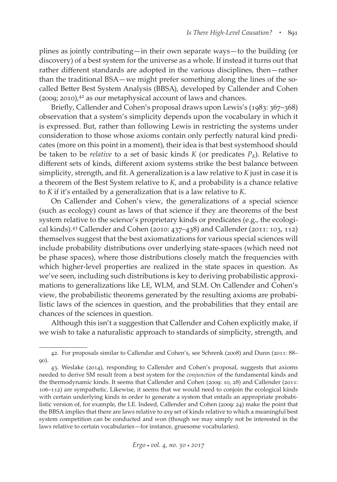plines as jointly contributing—in their own separate ways—to the building (or discovery) of a best system for the universe as a whole. If instead it turns out that rather different standards are adopted in the various disciplines, then—rather than the traditional BSA—we might prefer something along the lines of the socalled Better Best System Analysis (BBSA), developed by Callender and Cohen  $(2009; 2010)$ ,<sup>42</sup> as our metaphysical account of laws and chances.

Briefly, Callender and Cohen's proposal draws upon Lewis's (1983: 367–368) observation that a system's simplicity depends upon the vocabulary in which it is expressed. But, rather than following Lewis in restricting the systems under consideration to those whose axioms contain only perfectly natural kind predicates (more on this point in a moment), their idea is that best systemhood should be taken to be *relative* to a set of basic kinds *K* (or predicates  $P_K$ ). Relative to different sets of kinds, different axiom systems strike the best balance between simplicity, strength, and fit. A generalization is a law relative to *K* just in case it is a theorem of the Best System relative to *K*, and a probability is a chance relative to *K* if it's entailed by a generalization that is a law relative to *K*.

On Callender and Cohen's view, the generalizations of a special science (such as ecology) count as laws of that science if they are theorems of the best system relative to the science's proprietary kinds or predicates (e.g., the ecological kinds).43 Callender and Cohen (2010: 437–438) and Callender (2011: 103, 112) themselves suggest that the best axiomatizations for various special sciences will include probability distributions over underlying state-spaces (which need not be phase spaces), where those distributions closely match the frequencies with which higher-level properties are realized in the state spaces in question. As we've seen, including such distributions is key to deriving probabilistic approximations to generalizations like LE, WLM, and SLM. On Callender and Cohen's view, the probabilistic theorems generated by the resulting axioms are probabilistic laws of the sciences in question, and the probabilities that they entail are chances of the sciences in question.

Although this isn't a suggestion that Callender and Cohen explicitly make, if we wish to take a naturalistic approach to standards of simplicity, strength, and

<sup>42.</sup> For proposals similar to Callendar and Cohen's, see Schrenk (2008) and Dunn (2011: 88–  $\alpha$ ).

<sup>43.</sup> Weslake (2014), responding to Callender and Cohen's proposal, suggests that axioms needed to derive SM result from a best system for the *conjunction* of the fundamental kinds and the thermodynamic kinds. It seems that Callender and Cohen (2009: 10, 28) and Callender (2011: 106–112) are sympathetic. Likewise, it seems that we would need to conjoin the ecological kinds with certain underlying kinds in order to generate a system that entails an appropriate probabilistic version of, for example, the LE. Indeed, Callender and Cohen (2009: 24) make the point that the BBSA implies that there are laws relative to *any* set of kinds relative to which a meaningful best system competition can be conducted and won (though we may simply not be interested in the laws relative to certain vocabularies—for instance, gruesome vocabularies).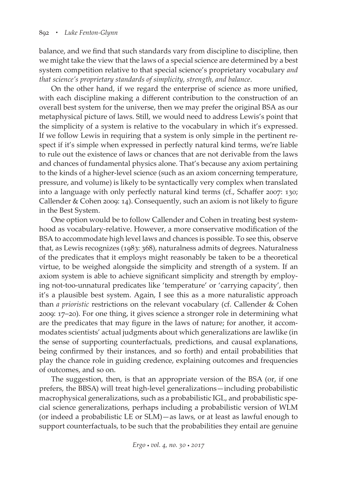balance, and we find that such standards vary from discipline to discipline, then we might take the view that the laws of a special science are determined by a best system competition relative to that special science's proprietary vocabulary *and that science's proprietary standards of simplicity, strength, and balance*.

On the other hand, if we regard the enterprise of science as more unified, with each discipline making a different contribution to the construction of an overall best system for the universe, then we may prefer the original BSA as our metaphysical picture of laws. Still, we would need to address Lewis's point that the simplicity of a system is relative to the vocabulary in which it's expressed. If we follow Lewis in requiring that a system is only simple in the pertinent respect if it's simple when expressed in perfectly natural kind terms, we're liable to rule out the existence of laws or chances that are not derivable from the laws and chances of fundamental physics alone. That's because any axiom pertaining to the kinds of a higher-level science (such as an axiom concerning temperature, pressure, and volume) is likely to be syntactically very complex when translated into a language with only perfectly natural kind terms (cf., Schaffer 2007: 130; Callender & Cohen 2009: 14). Consequently, such an axiom is not likely to figure in the Best System.

One option would be to follow Callender and Cohen in treating best systemhood as vocabulary-relative. However, a more conservative modification of the BSA to accommodate high level laws and chances is possible. To see this, observe that, as Lewis recognizes (1983: 368), naturalness admits of degrees. Naturalness of the predicates that it employs might reasonably be taken to be a theoretical virtue, to be weighed alongside the simplicity and strength of a system. If an axiom system is able to achieve significant simplicity and strength by employing not-too-unnatural predicates like 'temperature' or 'carrying capacity', then it's a plausible best system. Again, I see this as a more naturalistic approach than *a prioristic* restrictions on the relevant vocabulary (cf. Callender & Cohen 2009: 17–20). For one thing, it gives science a stronger role in determining what are the predicates that may figure in the laws of nature; for another, it accommodates scientists' actual judgments about which generalizations are lawlike (in the sense of supporting counterfactuals, predictions, and causal explanations, being confirmed by their instances, and so forth) and entail probabilities that play the chance role in guiding credence, explaining outcomes and frequencies of outcomes, and so on.

The suggestion, then, is that an appropriate version of the BSA (or, if one prefers, the BBSA) will treat high-level generalizations—including probabilistic macrophysical generalizations, such as a probabilistic IGL, and probabilistic special science generalizations, perhaps including a probabilistic version of WLM (or indeed a probabilistic LE or SLM)—as laws, or at least as lawful enough to support counterfactuals, to be such that the probabilities they entail are genuine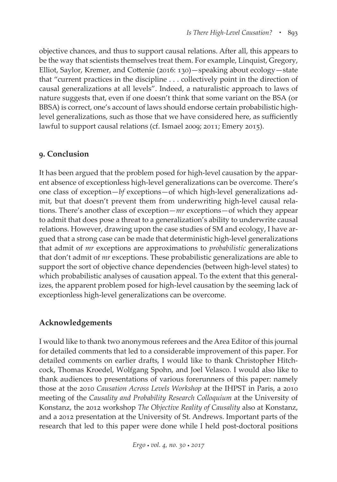objective chances, and thus to support causal relations. After all, this appears to be the way that scientists themselves treat them. For example, Linquist, Gregory, Elliot, Saylor, Kremer, and Cottenie (2016: 130)—speaking about ecology—state that "current practices in the discipline . . . collectively point in the direction of causal generalizations at all levels". Indeed, a naturalistic approach to laws of nature suggests that, even if one doesn't think that some variant on the BSA (or BBSA) is correct, one's account of laws should endorse certain probabilistic highlevel generalizations, such as those that we have considered here, as sufficiently lawful to support causal relations (cf. Ismael 2009; 2011; Emery 2015).

## **9. Conclusion**

It has been argued that the problem posed for high-level causation by the apparent absence of exceptionless high-level generalizations can be overcome. There's one class of exception—*bf* exceptions—of which high-level generalizations admit, but that doesn't prevent them from underwriting high-level causal relations. There's another class of exception—*mr* exceptions—of which they appear to admit that does pose a threat to a generalization's ability to underwrite causal relations. However, drawing upon the case studies of SM and ecology, I have argued that a strong case can be made that deterministic high-level generalizations that admit of *mr* exceptions are approximations to *probabilistic* generalizations that don't admit of *mr* exceptions. These probabilistic generalizations are able to support the sort of objective chance dependencies (between high-level states) to which probabilistic analyses of causation appeal. To the extent that this generalizes, the apparent problem posed for high-level causation by the seeming lack of exceptionless high-level generalizations can be overcome.

# **Acknowledgements**

I would like to thank two anonymous referees and the Area Editor of this journal for detailed comments that led to a considerable improvement of this paper. For detailed comments on earlier drafts, I would like to thank Christopher Hitchcock, Thomas Kroedel, Wolfgang Spohn, and Joel Velasco. I would also like to thank audiences to presentations of various forerunners of this paper: namely those at the 2010 *Causation Across Levels Workshop* at the IHPST in Paris, a 2010 meeting of the *Causality and Probability Research Colloquium* at the University of Konstanz, the 2012 workshop *The Objective Reality of Causality* also at Konstanz, and a 2012 presentation at the University of St. Andrews. Important parts of the research that led to this paper were done while I held post-doctoral positions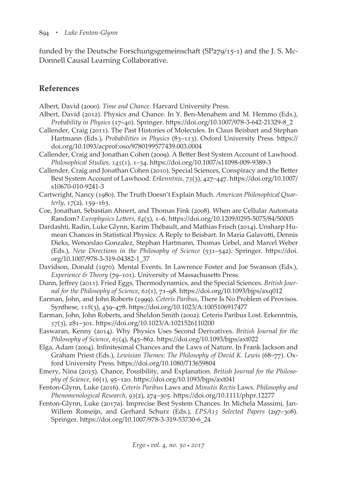funded by the Deutsche Forschungsgemeinschaft (SP279/15-1) and the J. S. Mc-Donnell Causal Learning Collaborative.

## **References**

Albert, David (2000). *Time and Chance*. Harvard University Press.

- Albert, David (2012). Physics and Chance. In Y. Ben-Menahem and M. Hemmo (Eds.), *Probability in Physics* (17–40). Springer. https://doi.org/10.1007/978-3-642-21329-8\_2
- Callender, Craig (2011). The Past Histories of Molecules. In Claus Beisbart and Stephan Hartmann (Eds.), *Probabilities in Physics* (83–113). Oxford University Press. https:// doi.org/10.1093/acprof:oso/9780199577439.003.0004
- Callender, Craig and Jonathan Cohen (2009). A Better Best System Account of Lawhood. *Philosophical Studies*, *145*(1), 1–34. https://doi.org/10.1007/s11098-009-9389-3
- Callender, Craig and Jonathan Cohen (2010). Special Sciences, Conspiracy and the Better Best System Account of Lawhood. *Erkenntnis*, *73*(3), 427–447. https://doi.org/10.1007/ s10670-010-9241-3
- Cartwright, Nancy (1980). The Truth Doesn't Explain Much. *American Philosophical Quarterly*, *17*(2), 159–163.
- Coe, Jonathan, Sebastian Ahnert, and Thomas Fink (2008). When are Cellular Automata Random? *Europhysics Letters*, *84*(5), 1–6. https://doi.org/10.1209/0295-5075/84/50005
- Dardashti, Radin, Luke Glynn, Karim Thébault, and Mathias Frisch (2014). Unsharp Humean Chances in Statistical Physics: A Reply to Beisbart. In Maria Galavotti, Dennis Dieks, Wenceslao Gonzalez, Stephan Hartmann, Thomas Uebel, and Marcel Weber (Eds.), *New Directions in the Philosophy of Science* (531–542). Springer. https://doi. org/10.1007/978-3-319-04382-1\_37
- Davidson, Donald (1970). Mental Events. In Lawrence Foster and Joe Swanson (Eds.), *Experience & Theory* (79–101). University of Massachusetts Press.
- Dunn, Jeffrey (2011). Fried Eggs, Thermodynamics, and the Special Sciences. *British Journal for the Philosophy of Science*, *62*(1), 71–98. https://doi.org/10.1093/bjps/axq012
- Earman, John, and John Roberts (1999). *Ceteris Paribus*, There Is No Problem of Provisos. Synthese, *118*(3), 439–478. https://doi.org/10.1023/A:1005106917477
- Earman, John, John Roberts, and Sheldon Smith (2002). Ceteris Paribus Lost. Erkenntnis, *57*(3), 281–301. https://doi.org/10.1023/A:1021526110200
- Easwaran, Kenny (2014). Why Physics Uses Second Derivatives. *British Journal for the Philosophy of Science*, *65*(4), 845–862. https://doi.org/10.1093/bjps/axt022
- Elga, Adam (2004). Infinitesimal Chances and the Laws of Nature. In Frank Jackson and Graham Priest (Eds.), *Lewisian Themes: The Philosophy of David K. Lewis* (68–77). Oxford University Press. https://doi.org/10.1080/713659804
- Emery, Nina (2015). Chance, Possibility, and Explanation. *British Journal for the Philosophy of Science*, *66*(1), 95–120. https://doi.org/10.1093/bjps/axt041
- Fenton-Glynn, Luke (2016). *Ceteris Paribus* Laws and *Minutis Rectis* Laws. *Philosophy and Phenomenological Research*, *93*(2), 274–305. https://doi.org/10.1111/phpr.12277
- Fenton-Glynn, Luke (2017a). Imprecise Best System Chances. In Michela Massimi, Jan-Willem Romeijn, and Gerhard Schurz (Eds.), *EPSA15 Selected Papers* (297–308). Springer. https://doi.org/10.1007/978-3-319-53730-6\_24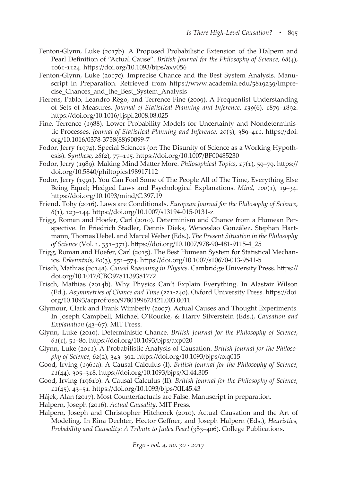- Fenton-Glynn, Luke (2017b). A Proposed Probabilistic Extension of the Halpern and Pearl Definition of "Actual Cause". *British Journal for the Philosophy of Science*, *68*(4), 1061-1124. https://doi.org/10.1093/bjps/axv056
- Fenton-Glynn, Luke (2017c). Imprecise Chance and the Best System Analysis. Manuscript in Preparation. Retrieved from https://www.academia.edu/5819239/Imprecise\_Chances\_and\_the\_Best\_System\_Analysis
- Fierens, Pablo, Leandro Rêgo, and Terrence Fine (2009). A Frequentist Understanding of Sets of Measures. *Journal of Statistical Planning and Inference*, *139*(6), 1879–1892. https://doi.org/10.1016/j.jspi.2008.08.025
- Fine, Terrence (1988). Lower Probability Models for Uncertainty and Nondeterministic Processes. *Journal of Statistical Planning and Inference*, *20*(3), 389–411. https://doi. org/10.1016/0378-3758(88)90099-7
- Fodor, Jerry (1974). Special Sciences (or: The Disunity of Science as a Working Hypothesis). *Synthese*, *28*(2), 77–115. https://doi.org/10.1007/BF00485230
- Fodor, Jerry (1989). Making Mind Matter More. *Philosophical Topics*, *17*(1), 59–79. https:// doi.org/10.5840/philtopics198917112
- Fodor, Jerry (1991). You Can Fool Some of The People All of The Time, Everything Else Being Equal; Hedged Laws and Psychological Explanations. *Mind*, *100*(1), 19–34. https://doi.org/10.1093/mind/C.397.19
- Friend, Toby (2016). Laws are Conditionals. *European Journal for the Philosophy of Science*, *6*(1), 123–144. https://doi.org/10.1007/s13194-015-0131-z
- Frigg, Roman and Hoefer, Carl (2010). Determinism and Chance from a Humean Perspective. In Friedrich Stadler, Dennis Dieks, Wenceslao González, Stephan Hartmann, Thomas Uebel, and Marcel Weber (Eds.), *The Present Situation in the Philosophy of Science* (Vol. 1, 351–371). https://doi.org/10.1007/978-90-481-9115-4\_25

Frigg, Roman and Hoefer, Carl (2015). The Best Humean System for Statistical Mechanics. *Erkenntnis*, *80*(3), 551–574. https://doi.org/10.1007/s10670-013-9541-5

- Frisch, Mathias (2014a). *Causal Reasoning in Physics*. Cambridge University Press. https:// doi.org/10.1017/CBO9781139381772
- Frisch, Mathias (2014b). Why Physics Can't Explain Everything. In Alastair Wilson (Ed.), *Asymmetries of Chance and Time* (221-240). Oxford University Press. https://doi. org/10.1093/acprof:oso/9780199673421.003.0011
- Glymour, Clark and Frank Wimberly (2007). Actual Causes and Thought Experiments. In Joseph Campbell, Michael O'Rourke, & Harry Silverstein (Eds.), *Causation and Explanation* (43–67). MIT Press.
- Glynn, Luke (2010). Deterministic Chance. *British Journal for the Philosophy of Science*, *61*(1), 51–80. https://doi.org/10.1093/bjps/axp020
- Glynn, Luke (2011). A Probabilistic Analysis of Causation. *British Journal for the Philosophy of Science*, *62*(2), 343–392. https://doi.org/10.1093/bjps/axq015
- Good, Irving (1961a). A Causal Calculus (I). *British Journal for the Philosophy of Science*, *11*(44), 305–318. https://doi.org/10.1093/bjps/XI.44.305
- Good, Irving (1961b). A Causal Calculus (II). *British Journal for the Philosophy of Science*, *12*(45), 43–51. https://doi.org/10.1093/bjps/XII.45.43
- Hájek, Alan (2017). Most Counterfactuals are False. Manuscript in preparation.
- Halpern, Joseph (2016). *Actual Causality*. MIT Press.
- Halpern, Joseph and Christopher Hitchcock (2010). Actual Causation and the Art of Modeling. In Rina Dechter, Hector Geffner, and Joseph Halpern (Eds.), *Heuristics, Probability and Causality: A Tribute to Judea Pearl* (383–406). College Publications.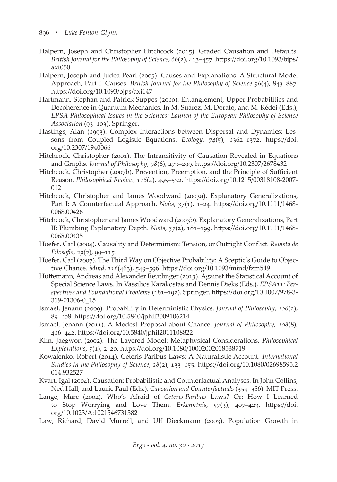- Halpern, Joseph and Christopher Hitchcock (2015). Graded Causation and Defaults. *British Journal for the Philosophy of Science*, *66*(2), 413–457. https://doi.org/10.1093/bjps/ axt050
- Halpern, Joseph and Judea Pearl (2005). Causes and Explanations: A Structural-Model Approach, Part I: Causes. *British Journal for the Philosophy of Science 56*(4), 843–887. https://doi.org/10.1093/bjps/axi147
- Hartmann, Stephan and Patrick Suppes (2010). Entanglement, Upper Probabilities and Decoherence in Quantum Mechanics. In M. Suárez, M. Dorato, and M. Rédei (Eds.), *EPSA Philosophical Issues in the Sciences: Launch of the European Philosophy of Science Association* (93–103). Springer.
- Hastings, Alan (1993). Complex Interactions between Dispersal and Dynamics: Lessons from Coupled Logistic Equations. *Ecology*, *74*(5), 1362–1372. https://doi. org/10.2307/1940066
- Hitchcock, Christopher (2001). The Intransitivity of Causation Revealed in Equations and Graphs. *Journal of Philosophy*, *98*(6), 273–299. https://doi.org/10.2307/2678432
- Hitchcock, Christopher (2007b). Prevention, Preemption, and the Principle of Sufficient Reason. *Philosophical Review*, *116*(4), 495–532. https://doi.org/10.1215/00318108-2007- 012
- Hitchcock, Christopher and James Woodward (2003a). Explanatory Generalizations, Part I: A Counterfactual Approach. *Noûs*, *37*(1), 1–24. https://doi.org/10.1111/1468- 0068.00426
- Hitchcock, Christopher and James Woodward (2003b). Explanatory Generalizations, Part II: Plumbing Explanatory Depth. *Noûs*, *37*(2), 181–199. https://doi.org/10.1111/1468- 0068.00435
- Hoefer, Carl (2004). Causality and Determinism: Tension, or Outright Conflict. *Revista de Filosofia*, *29*(2), 99–115.
- Hoefer, Carl (2007). The Third Way on Objective Probability: A Sceptic's Guide to Objective Chance. *Mind*, *116*(463), 549–596. https://doi.org/10.1093/mind/fzm549
- Hüttemann, Andreas and Alexander Reutlinger (2013). Against the Statistical Account of Special Science Laws. In Vassilios Karakostas and Dennis Dieks (Eds.), *EPSA11: Perspectives and Foundational Problems* (181–192). Springer. https://doi.org/10.1007/978-3- 319-01306-0\_15
- Ismael, Jenann (2009). Probability in Deterministic Physics. *Journal of Philosophy*, *106*(2), 89–108. https://doi.org/10.5840/jphil2009106214
- Ismael, Jenann (2011). A Modest Proposal about Chance. *Journal of Philosophy*, *108*(8), 416–442. https://doi.org/10.5840/jphil2011108822
- Kim, Jaegwon (2002). The Layered Model: Metaphysical Considerations. *Philosophical Explorations*, *5*(1), 2–20. https://doi.org/10.1080/10002002018538719
- Kowalenko, Robert (2014). Ceteris Paribus Laws: A Naturalistic Account. *International Studies in the Philosophy of Science*, *28*(2), 133–155. https://doi.org/10.1080/02698595.2 014.932527
- Kvart, Igal (2004). Causation: Probabilistic and Counterfactual Analyses. In John Collins, Ned Hall, and Laurie Paul (Eds.), *Causation and Counterfactuals* (359–386). MIT Press.
- Lange, Marc (2002). Who's Afraid of *Ceteris-Paribus* Laws? Or: How I Learned to Stop Worrying and Love Them. *Erkenntnis*, *57*(3), 407–423. https://doi. org/10.1023/A:1021546731582
- Law, Richard, David Murrell, and Ulf Dieckmann (2003). Population Growth in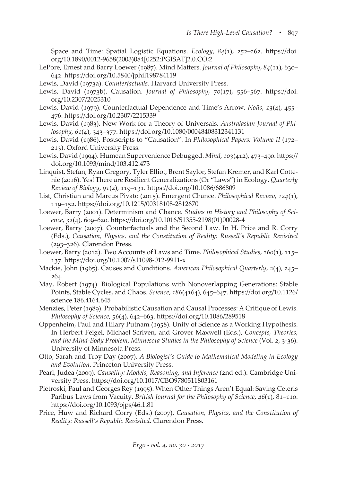Space and Time: Spatial Logistic Equations. *Ecology*, *84*(1), 252–262. https://doi. org/10.1890/0012-9658(2003)084[0252:PGISAT]2.0.CO;2

- LePore, Ernest and Barry Loewer (1987). Mind Matters. *Journal of Philosophy*, *84*(11), 630– 642. https://doi.org/10.5840/jphil198784119
- Lewis, David (1973a). *Counterfactuals*. Harvard University Press.
- Lewis, David (1973b). Causation. *Journal of Philosophy*, *70*(17), 556–567. https://doi. org/10.2307/2025310
- Lewis, David (1979). Counterfactual Dependence and Time's Arrow. *Noûs*, *13*(4), 455– 476. https://doi.org/10.2307/2215339
- Lewis, David (1983). New Work for a Theory of Universals. *Australasian Journal of Philosophy*, *61*(4), 343–377. https://doi.org/10.1080/00048408312341131
- Lewis, David (1986). Postscripts to "Causation". In *Philosophical Papers: Volume II* (172– 213). Oxford University Press.
- Lewis, David (1994). Humean Supervenience Debugged. *Mind*, *103*(412), 473–490. https:// doi.org/10.1093/mind/103.412.473
- Linquist, Stefan, Ryan Gregory, Tyler Elliot, Brent Saylor, Stefan Kremer, and Karl Cottenie (2016). Yes! There are Resilient Generalizations (Or "Laws") in Ecology. *Quarterly Review of Biology*, *91*(2), 119–131. https://doi.org/10.1086/686809
- List, Christian and Marcus Pivato (2015). Emergent Chance. *Philosophical Review*, *124*(1), 119–152. https://doi.org/10.1215/00318108-2812670
- Loewer, Barry (2001). Determinism and Chance. *Studies in History and Philosophy of Science*, *32*(4), 609–620. https://doi.org/10.1016/S1355-2198(01)00028-4
- Loewer, Barry (2007). Counterfactuals and the Second Law. In H. Price and R. Corry (Eds.), *Causation, Physics, and the Constitution of Reality: Russell's Republic Revisited* (293–326). Clarendon Press.
- Loewer, Barry (2012). Two Accounts of Laws and Time. *Philosophical Studies*, *160*(1), 115– 137. https://doi.org/10.1007/s11098-012-9911-x
- Mackie, John (1965). Causes and Conditions. *American Philosophical Quarterly*, *2*(4), 245– 264.
- May, Robert (1974). Biological Populations with Nonoverlapping Generations: Stable Points, Stable Cycles, and Chaos. *Science*, *186*(4164), 645–647. https://doi.org/10.1126/ science.186.4164.645
- Menzies, Peter (1989). Probabilistic Causation and Causal Processes: A Critique of Lewis. *Philosophy of Science*, *56*(4), 642–663. https://doi.org/10.1086/289518
- Oppenheim, Paul and Hilary Putnam (1958). Unity of Science as a Working Hypothesis. In Herbert Feigel, Michael Scriven, and Grover Maxwell (Eds.), *Concepts, Theories, and the Mind-Body Problem*, *Minnesota Studies in the Philosophy of Science* (Vol. 2, 3-36). University of Minnesota Press.
- Otto, Sarah and Troy Day (2007). *A Biologist's Guide to Mathematical Modeling in Ecology and Evolution*. Princeton University Press.
- Pearl, Judea (2009). *Causality: Models, Reasoning, and Inference* (2nd ed.). Cambridge University Press. https://doi.org/10.1017/CBO9780511803161
- Pietroski, Paul and Georges Rey (1995). When Other Things Aren't Equal: Saving Ceteris Paribus Laws from Vacuity. *British Journal for the Philosophy of Science*, *46*(1), 81–110. https://doi.org/10.1093/bjps/46.1.81
- Price, Huw and Richard Corry (Eds.) (2007). *Causation, Physics, and the Constitution of Reality: Russell's Republic Revisited*. Clarendon Press.